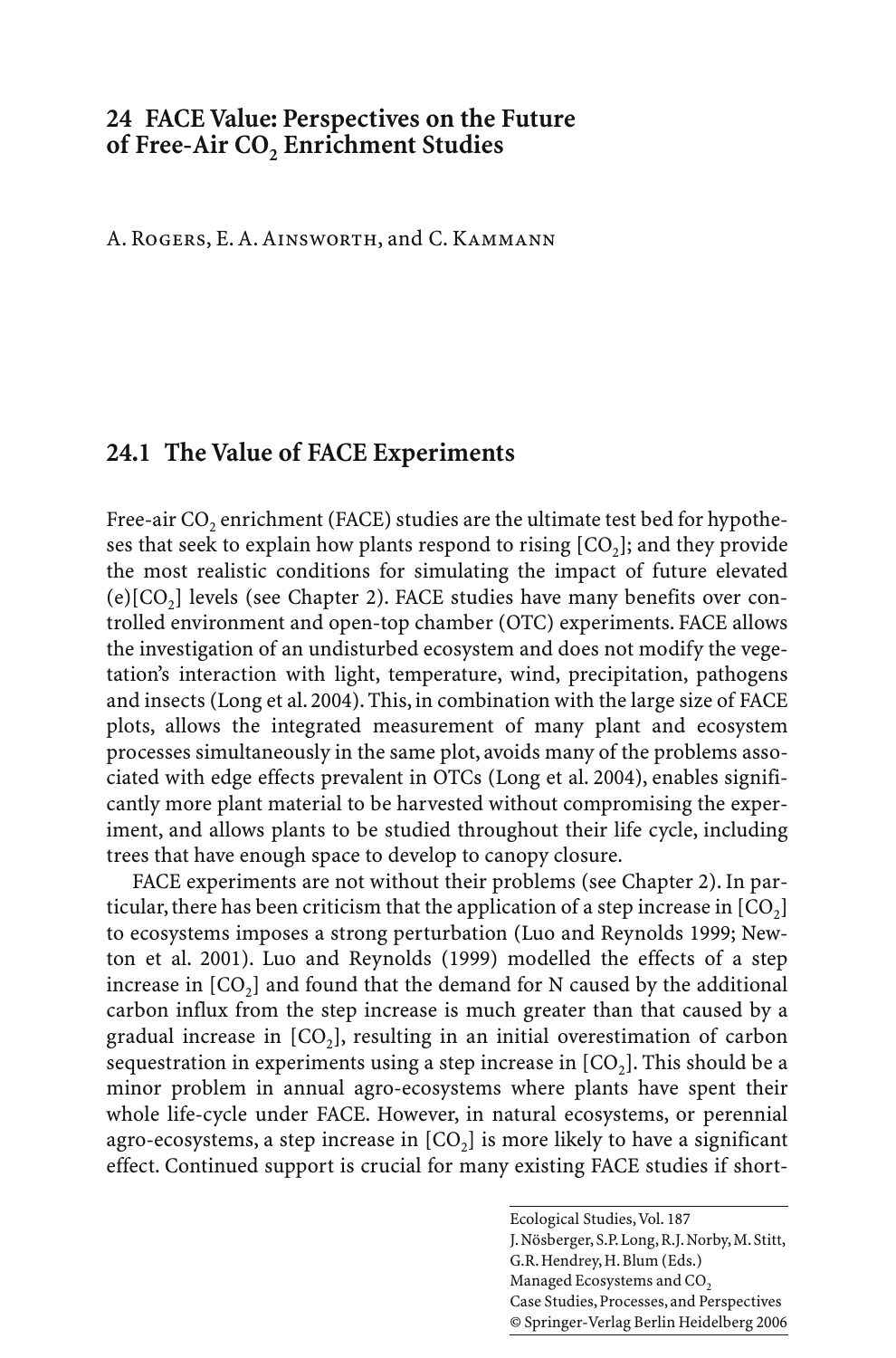## **24 FACE Value: Perspectives on the Future of Free-Air CO<sub>2</sub> Enrichment Studies**

A. Rogers, E. A. Ainsworth, and C. Kammann

# **24.1 The Value of FACE Experiments**

Free-air CO<sub>2</sub> enrichment (FACE) studies are the ultimate test bed for hypotheses that seek to explain how plants respond to rising  $[CO<sub>2</sub>]$ ; and they provide the most realistic conditions for simulating the impact of future elevated (e) $[CO<sub>2</sub>]$  levels (see Chapter 2). FACE studies have many benefits over controlled environment and open-top chamber (OTC) experiments. FACE allows the investigation of an undisturbed ecosystem and does not modify the vegetation's interaction with light, temperature, wind, precipitation, pathogens and insects (Long et al. 2004). This, in combination with the large size of FACE plots, allows the integrated measurement of many plant and ecosystem processes simultaneously in the same plot, avoids many of the problems associated with edge effects prevalent in OTCs (Long et al. 2004), enables significantly more plant material to be harvested without compromising the experiment, and allows plants to be studied throughout their life cycle, including trees that have enough space to develop to canopy closure.

FACE experiments are not without their problems (see Chapter 2). In particular, there has been criticism that the application of a step increase in  $[CO_2]$ to ecosystems imposes a strong perturbation (Luo and Reynolds 1999; Newton et al. 2001). Luo and Reynolds (1999) modelled the effects of a step increase in  $[CO<sub>2</sub>]$  and found that the demand for N caused by the additional carbon influx from the step increase is much greater than that caused by a gradual increase in  $[CO_2]$ , resulting in an initial overestimation of carbon sequestration in experiments using a step increase in  $[CO<sub>2</sub>]$ . This should be a minor problem in annual agro-ecosystems where plants have spent their whole life-cycle under FACE. However, in natural ecosystems, or perennial agro-ecosystems, a step increase in  $[CO_2]$  is more likely to have a significant effect. Continued support is crucial for many existing FACE studies if short-

> Ecological Studies, Vol. 187 J. Nösberger, S.P. Long, R.J. Norby, M. Stitt, G.R. Hendrey, H. Blum (Eds.) Managed Ecosystems and CO<sub>2</sub> Case Studies, Processes, and Perspectives © Springer-Verlag Berlin Heidelberg 2006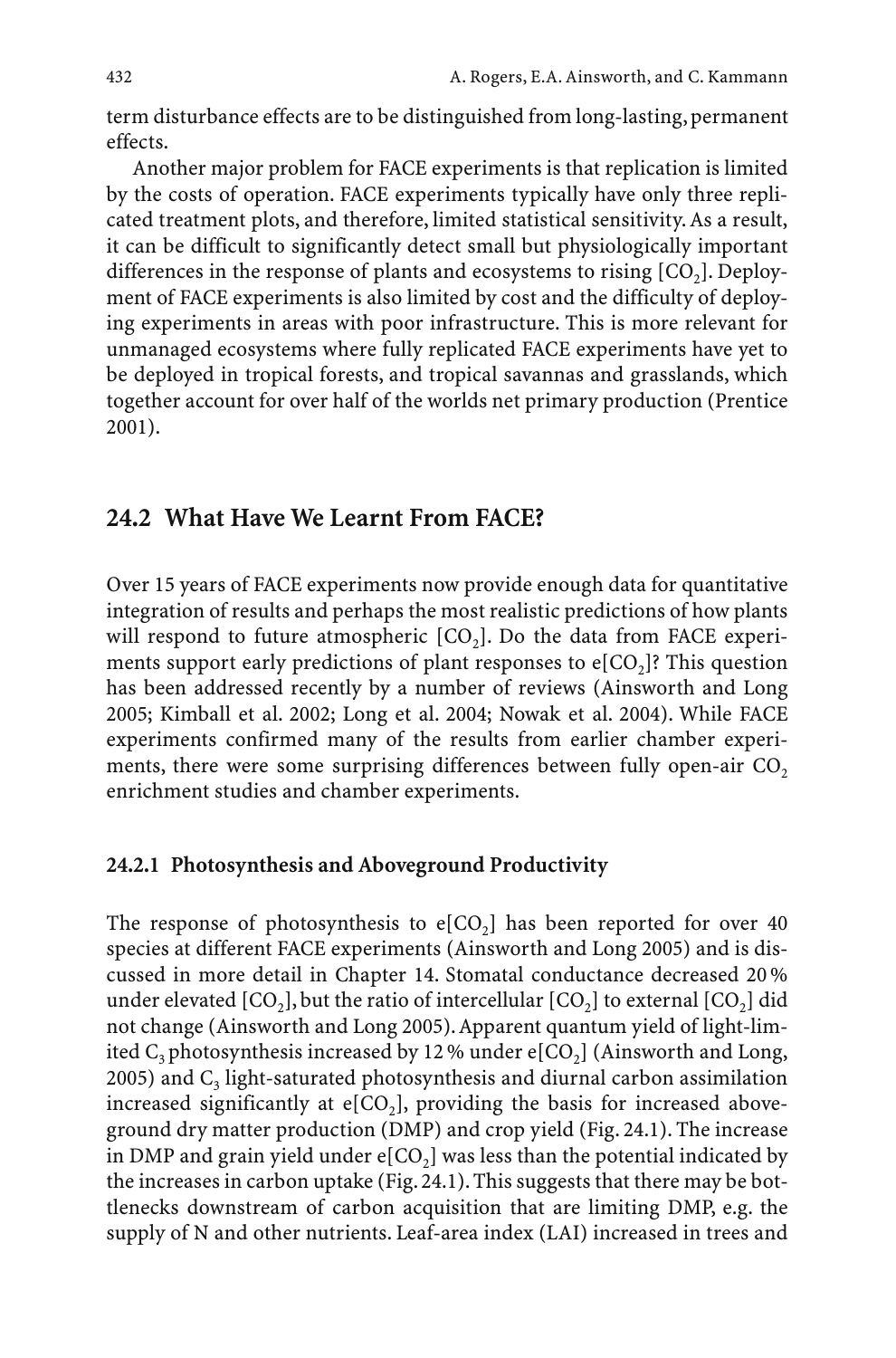term disturbance effects are to be distinguished from long-lasting, permanent effects.

Another major problem for FACE experiments is that replication is limited by the costs of operation. FACE experiments typically have only three replicated treatment plots, and therefore, limited statistical sensitivity. As a result, it can be difficult to significantly detect small but physiologically important differences in the response of plants and ecosystems to rising  $[CO<sub>2</sub>]$ . Deployment of FACE experiments is also limited by cost and the difficulty of deploying experiments in areas with poor infrastructure. This is more relevant for unmanaged ecosystems where fully replicated FACE experiments have yet to be deployed in tropical forests, and tropical savannas and grasslands, which together account for over half of the worlds net primary production (Prentice 2001).

## **24.2 What Have We Learnt From FACE?**

Over 15 years of FACE experiments now provide enough data for quantitative integration of results and perhaps the most realistic predictions of how plants will respond to future atmospheric  $[CO<sub>2</sub>]$ . Do the data from FACE experiments support early predictions of plant responses to  $e[CO_2]$ ? This question has been addressed recently by a number of reviews (Ainsworth and Long 2005; Kimball et al. 2002; Long et al. 2004; Nowak et al. 2004). While FACE experiments confirmed many of the results from earlier chamber experiments, there were some surprising differences between fully open-air  $CO<sub>2</sub>$ enrichment studies and chamber experiments.

#### **24.2.1 Photosynthesis and Aboveground Productivity**

The response of photosynthesis to  $e[CO<sub>2</sub>]$  has been reported for over 40 species at different FACE experiments (Ainsworth and Long 2005) and is discussed in more detail in Chapter 14. Stomatal conductance decreased 20 % under elevated  $[CO_2]$ , but the ratio of intercellular  $[CO_2]$  to external  $[CO_2]$  did not change (Ainsworth and Long 2005).Apparent quantum yield of light-limited  $C_3$  photosynthesis increased by 12 % under e[CO<sub>2</sub>] (Ainsworth and Long, 2005) and  $C_3$  light-saturated photosynthesis and diurnal carbon assimilation increased significantly at  $e[CO_2]$ , providing the basis for increased aboveground dry matter production (DMP) and crop yield (Fig. 24.1). The increase in DMP and grain yield under  $e[CO_2]$  was less than the potential indicated by the increases in carbon uptake (Fig. 24.1). This suggests that there may be bottlenecks downstream of carbon acquisition that are limiting DMP, e.g. the supply of N and other nutrients. Leaf-area index (LAI) increased in trees and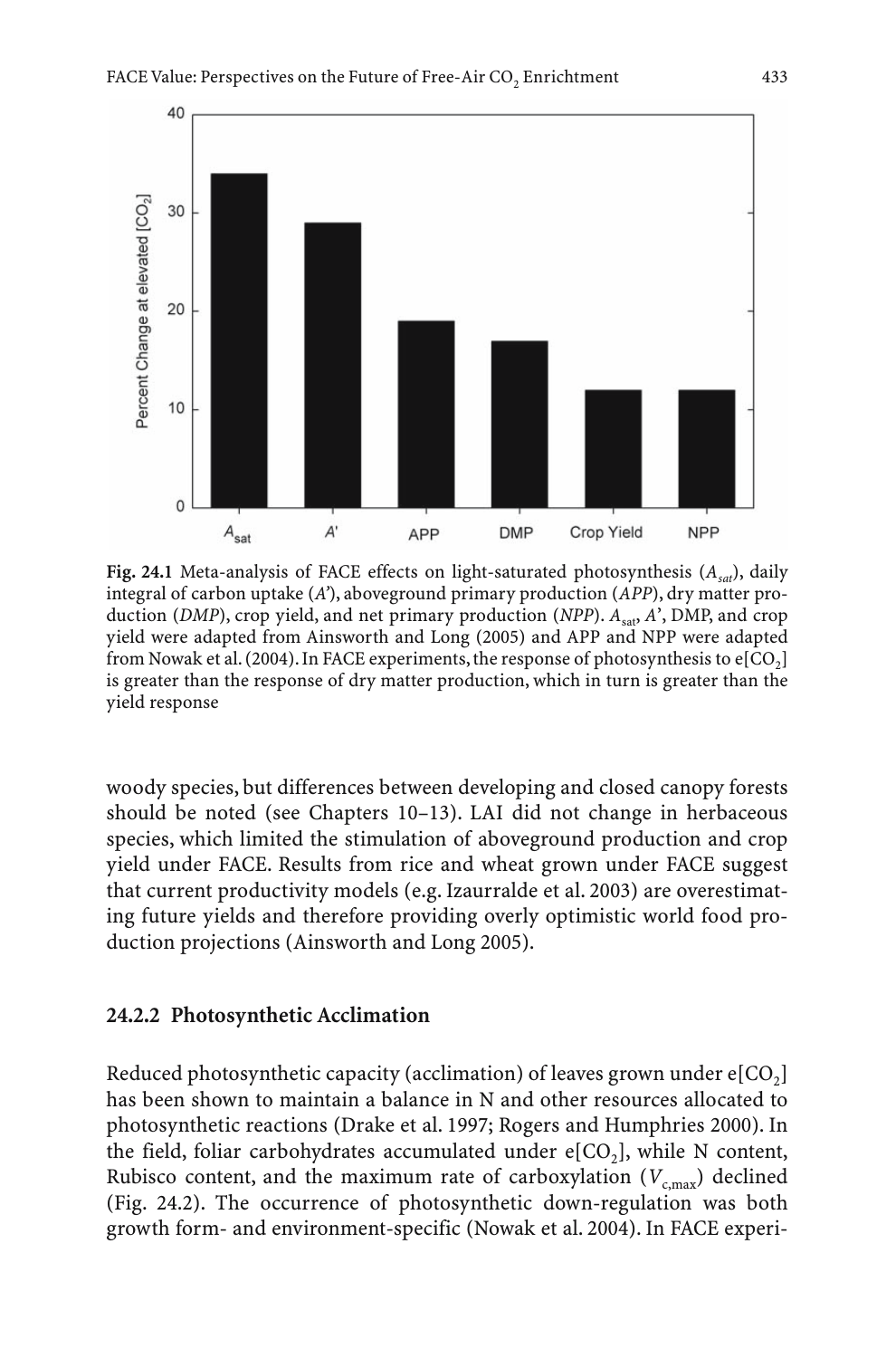

Fig. 24.1 Meta-analysis of FACE effects on light-saturated photosynthesis ( $A<sub>cat</sub>$ ), daily integral of carbon uptake (*A'*), aboveground primary production (*APP*), dry matter production (*DMP*), crop yield, and net primary production (*NPP*).  $A<sub>sat</sub>$ , *A*', *DMP*, and crop yield were adapted from Ainsworth and Long (2005) and APP and NPP were adapted from Nowak et al. (2004). In FACE experiments, the response of photosynthesis to  $e[CO_2]$ is greater than the response of dry matter production, which in turn is greater than the yield response

woody species, but differences between developing and closed canopy forests should be noted (see Chapters 10–13). LAI did not change in herbaceous species, which limited the stimulation of aboveground production and crop yield under FACE. Results from rice and wheat grown under FACE suggest that current productivity models (e.g. Izaurralde et al. 2003) are overestimating future yields and therefore providing overly optimistic world food production projections (Ainsworth and Long 2005).

### **24.2.2 Photosynthetic Acclimation**

Reduced photosynthetic capacity (acclimation) of leaves grown under  $e[CO<sub>2</sub>]$ has been shown to maintain a balance in N and other resources allocated to photosynthetic reactions (Drake et al. 1997; Rogers and Humphries 2000). In the field, foliar carbohydrates accumulated under  $e[CO_2]$ , while N content, Rubisco content, and the maximum rate of carboxylation  $(V_{c, \text{max}})$  declined (Fig. 24.2). The occurrence of photosynthetic down-regulation was both growth form- and environment-specific (Nowak et al. 2004). In FACE experi-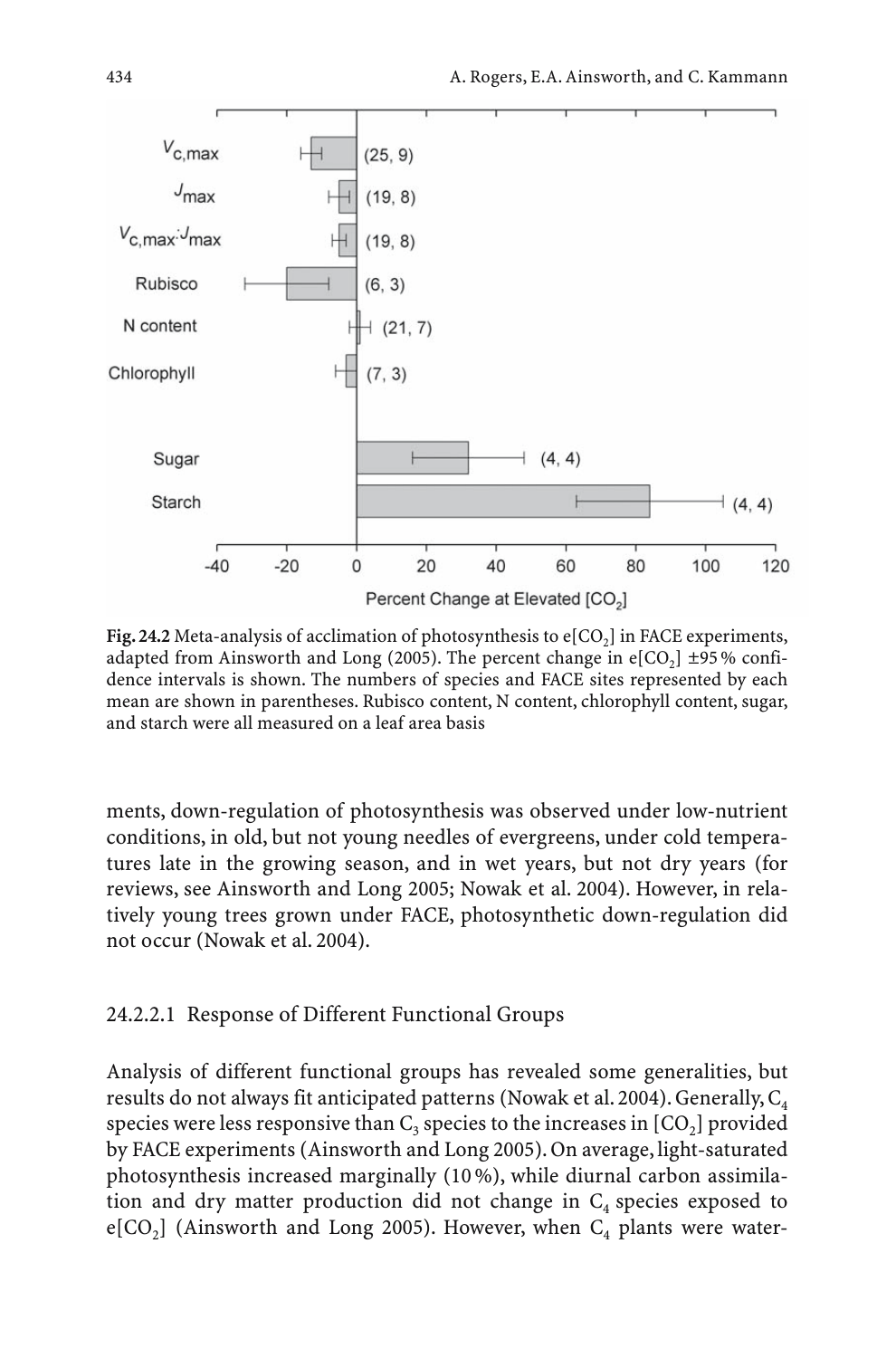

**Fig. 24.2** Meta-analysis of acclimation of photosynthesis to  $e[CO<sub>2</sub>]$  in FACE experiments, adapted from Ainsworth and Long (2005). The percent change in  $e[CO<sub>2</sub>] \pm 95\%$  confidence intervals is shown. The numbers of species and FACE sites represented by each mean are shown in parentheses. Rubisco content, N content, chlorophyll content, sugar, and starch were all measured on a leaf area basis

ments, down-regulation of photosynthesis was observed under low-nutrient conditions, in old, but not young needles of evergreens, under cold temperatures late in the growing season, and in wet years, but not dry years (for reviews, see Ainsworth and Long 2005; Nowak et al. 2004). However, in relatively young trees grown under FACE, photosynthetic down-regulation did not occur (Nowak et al. 2004).

### 24.2.2.1 Response of Different Functional Groups

Analysis of different functional groups has revealed some generalities, but results do not always fit anticipated patterns (Nowak et al. 2004). Generally,  $C_4$ species were less responsive than  $C_3$  species to the increases in  $[CO_2]$  provided by FACE experiments (Ainsworth and Long 2005). On average, light-saturated photosynthesis increased marginally (10 %), while diurnal carbon assimilation and dry matter production did not change in  $C_4$  species exposed to e[CO<sub>2</sub>] (Ainsworth and Long 2005). However, when  $C_4$  plants were water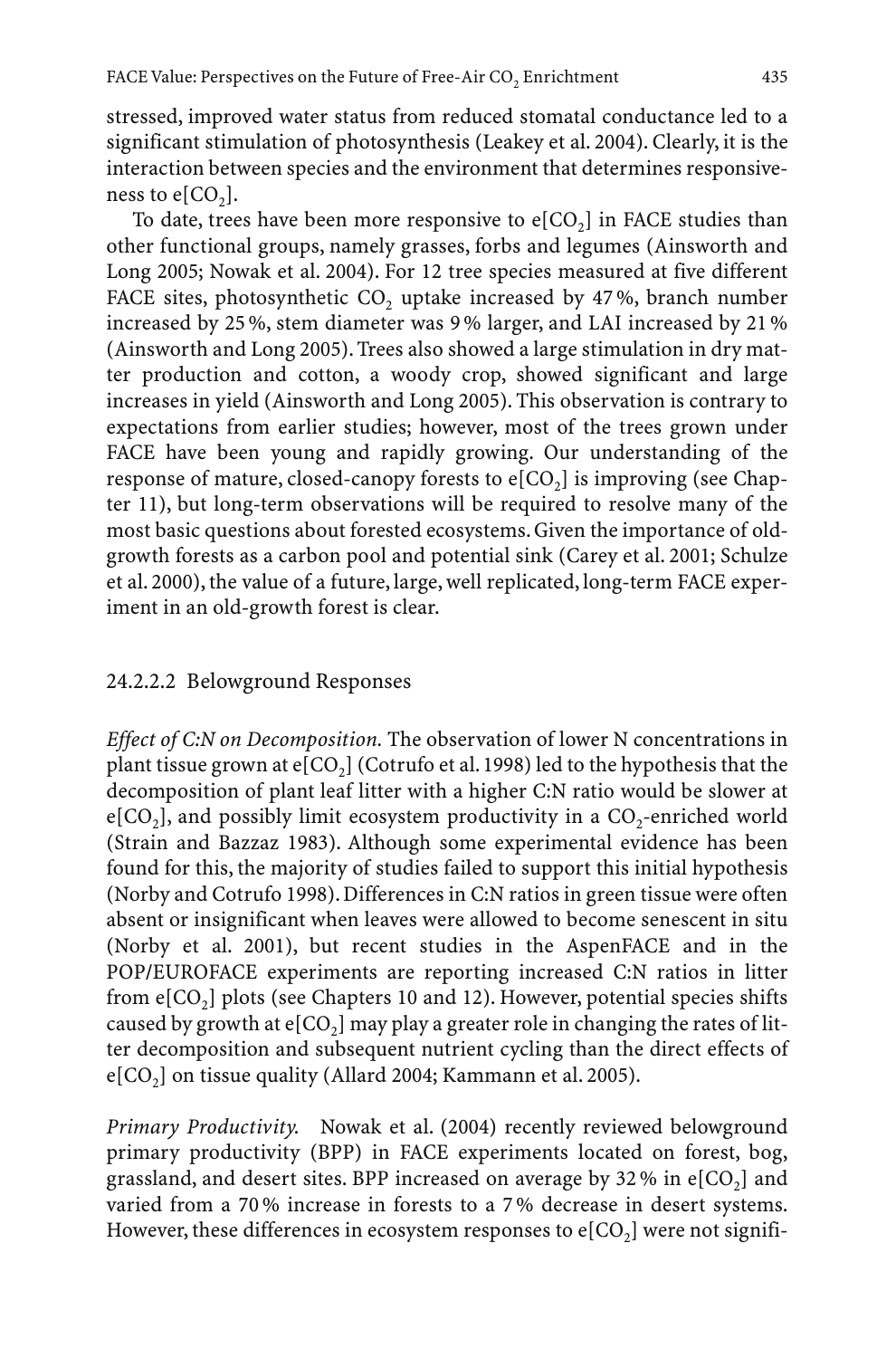stressed, improved water status from reduced stomatal conductance led to a significant stimulation of photosynthesis (Leakey et al. 2004). Clearly, it is the interaction between species and the environment that determines responsiveness to  $e[CO<sub>2</sub>]$ .

To date, trees have been more responsive to  $e[CO_2]$  in FACE studies than other functional groups, namely grasses, forbs and legumes (Ainsworth and Long 2005; Nowak et al. 2004). For 12 tree species measured at five different FACE sites, photosynthetic CO<sub>2</sub> uptake increased by  $47\%$ , branch number increased by 25 %, stem diameter was 9 % larger, and LAI increased by 21 % (Ainsworth and Long 2005). Trees also showed a large stimulation in dry matter production and cotton, a woody crop, showed significant and large increases in yield (Ainsworth and Long 2005). This observation is contrary to expectations from earlier studies; however, most of the trees grown under FACE have been young and rapidly growing. Our understanding of the response of mature, closed-canopy forests to  $e[CO_2]$  is improving (see Chapter 11), but long-term observations will be required to resolve many of the most basic questions about forested ecosystems. Given the importance of oldgrowth forests as a carbon pool and potential sink (Carey et al. 2001; Schulze et al. 2000), the value of a future, large, well replicated, long-term FACE experiment in an old-growth forest is clear.

## 24.2.2.2 Belowground Responses

*Effect of C:N on Decomposition.* The observation of lower N concentrations in plant tissue grown at  $e[CO_2]$  (Cotrufo et al. 1998) led to the hypothesis that the decomposition of plant leaf litter with a higher C:N ratio would be slower at  $e[CO<sub>2</sub>]$ , and possibly limit ecosystem productivity in a  $CO<sub>2</sub>$ -enriched world (Strain and Bazzaz 1983). Although some experimental evidence has been found for this, the majority of studies failed to support this initial hypothesis (Norby and Cotrufo 1998). Differences in C:N ratios in green tissue were often absent or insignificant when leaves were allowed to become senescent in situ (Norby et al. 2001), but recent studies in the AspenFACE and in the POP/EUROFACE experiments are reporting increased C:N ratios in litter from  $e[CO<sub>2</sub>]$  plots (see Chapters 10 and 12). However, potential species shifts caused by growth at  $e[CO<sub>2</sub>]$  may play a greater role in changing the rates of litter decomposition and subsequent nutrient cycling than the direct effects of  $e[CO<sub>2</sub>]$  on tissue quality (Allard 2004; Kammann et al. 2005).

*Primary Productivity.* Nowak et al. (2004) recently reviewed belowground primary productivity (BPP) in FACE experiments located on forest, bog, grassland, and desert sites. BPP increased on average by 32 % in  $e[CO<sub>2</sub>]$  and varied from a 70 % increase in forests to a 7 % decrease in desert systems. However, these differences in ecosystem responses to  $e[CO<sub>2</sub>]$  were not signifi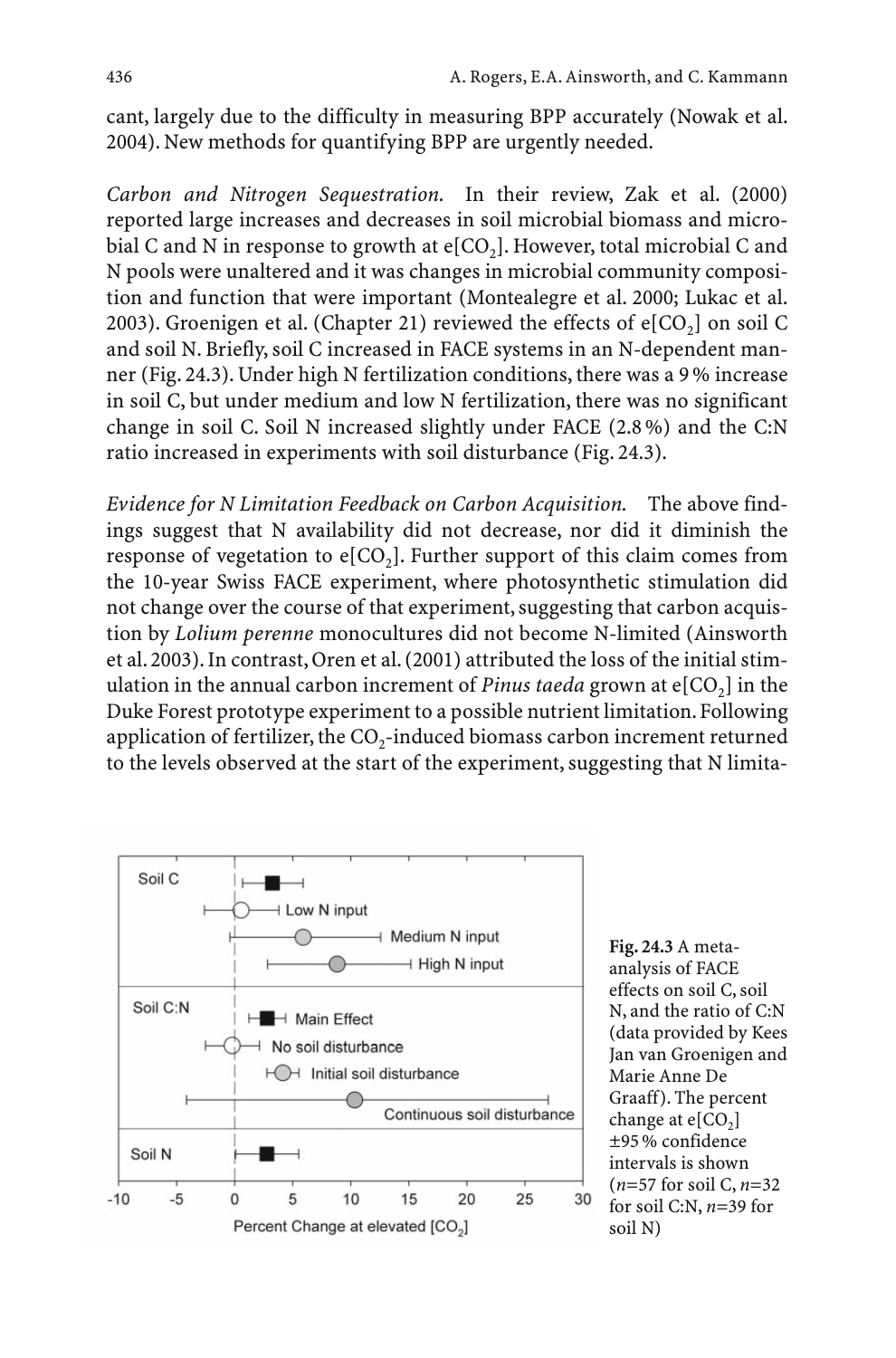cant, largely due to the difficulty in measuring BPP accurately (Nowak et al. 2004). New methods for quantifying BPP are urgently needed.

*Carbon and Nitrogen Sequestration.* In their review, Zak et al. (2000) reported large increases and decreases in soil microbial biomass and microbial C and N in response to growth at  $e[CO_2]$ . However, total microbial C and N pools were unaltered and it was changes in microbial community composition and function that were important (Montealegre et al. 2000; Lukac et al. 2003). Groenigen et al. (Chapter 21) reviewed the effects of  $e[CO<sub>2</sub>]$  on soil C and soil N. Briefly, soil C increased in FACE systems in an N-dependent manner (Fig. 24.3). Under high N fertilization conditions, there was a 9 % increase in soil C, but under medium and low N fertilization, there was no significant change in soil C. Soil N increased slightly under FACE (2.8 %) and the C:N ratio increased in experiments with soil disturbance (Fig. 24.3).

*Evidence for N Limitation Feedback on Carbon Acquisition.* The above findings suggest that N availability did not decrease, nor did it diminish the response of vegetation to  $e[CO_2]$ . Further support of this claim comes from the 10-year Swiss FACE experiment, where photosynthetic stimulation did not change over the course of that experiment, suggesting that carbon acquistion by *Lolium perenne* monocultures did not become N-limited (Ainsworth et al. 2003). In contrast, Oren et al. (2001) attributed the loss of the initial stimulation in the annual carbon increment of *Pinus taeda* grown at  $e[CO_2]$  in the Duke Forest prototype experiment to a possible nutrient limitation. Following application of fertilizer, the  $CO<sub>2</sub>$ -induced biomass carbon increment returned to the levels observed at the start of the experiment, suggesting that N limita-



**Fig. 24.3** A metaanalysis of FACE effects on soil C, soil N, and the ratio of C:N (data provided by Kees Jan van Groenigen and Marie Anne De Graaff). The percent change at  $e[CO<sub>2</sub>]$ ±95 % confidence intervals is shown (*n*=57 for soil C, *n*=32 for soil C:N, *n*=39 for soil N)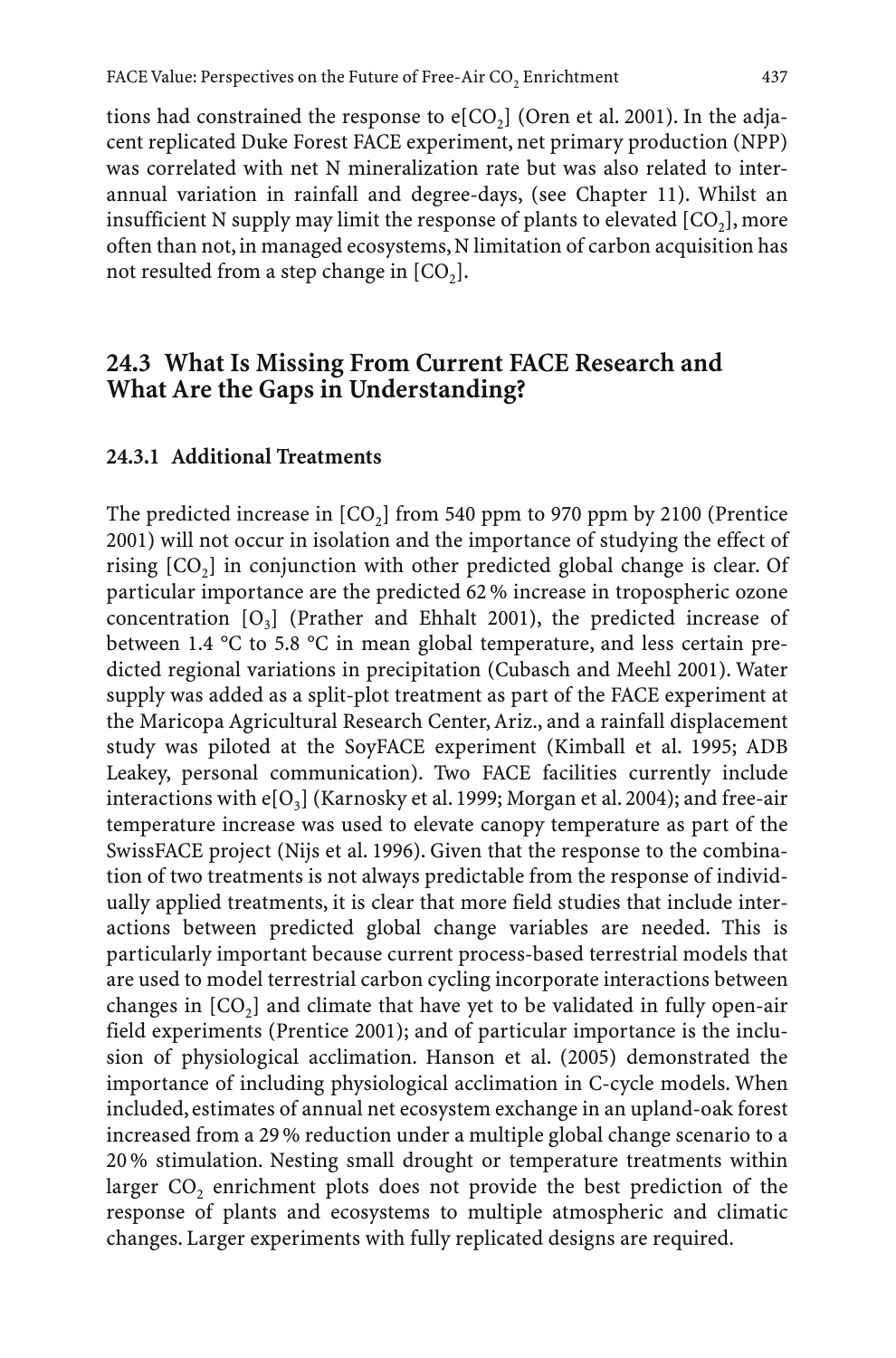tions had constrained the response to  $e[CO_2]$  (Oren et al. 2001). In the adjacent replicated Duke Forest FACE experiment, net primary production (NPP) was correlated with net N mineralization rate but was also related to interannual variation in rainfall and degree-days, (see Chapter 11). Whilst an insufficient N supply may limit the response of plants to elevated  $[CO<sub>2</sub>]$ , more often than not, in managed ecosystems, N limitation of carbon acquisition has not resulted from a step change in  $[CO<sub>2</sub>]$ .

## **24.3 What Is Missing From Current FACE Research and What Are the Gaps in Understanding?**

#### **24.3.1 Additional Treatments**

The predicted increase in  $[CO_2]$  from 540 ppm to 970 ppm by 2100 (Prentice 2001) will not occur in isolation and the importance of studying the effect of rising  $[CO_2]$  in conjunction with other predicted global change is clear. Of particular importance are the predicted 62 % increase in tropospheric ozone concentration  $[O_3]$  (Prather and Ehhalt 2001), the predicted increase of between 1.4 °C to 5.8 °C in mean global temperature, and less certain predicted regional variations in precipitation (Cubasch and Meehl 2001). Water supply was added as a split-plot treatment as part of the FACE experiment at the Maricopa Agricultural Research Center, Ariz., and a rainfall displacement study was piloted at the SoyFACE experiment (Kimball et al. 1995; ADB Leakey, personal communication). Two FACE facilities currently include interactions with  $e[O_3]$  (Karnosky et al. 1999; Morgan et al. 2004); and free-air temperature increase was used to elevate canopy temperature as part of the SwissFACE project (Nijs et al. 1996). Given that the response to the combination of two treatments is not always predictable from the response of individually applied treatments, it is clear that more field studies that include interactions between predicted global change variables are needed. This is particularly important because current process-based terrestrial models that are used to model terrestrial carbon cycling incorporate interactions between changes in  $[CO<sub>2</sub>]$  and climate that have yet to be validated in fully open-air field experiments (Prentice 2001); and of particular importance is the inclusion of physiological acclimation. Hanson et al. (2005) demonstrated the importance of including physiological acclimation in C-cycle models. When included, estimates of annual net ecosystem exchange in an upland-oak forest increased from a 29 % reduction under a multiple global change scenario to a 20 % stimulation. Nesting small drought or temperature treatments within larger CO<sub>2</sub> enrichment plots does not provide the best prediction of the response of plants and ecosystems to multiple atmospheric and climatic changes. Larger experiments with fully replicated designs are required.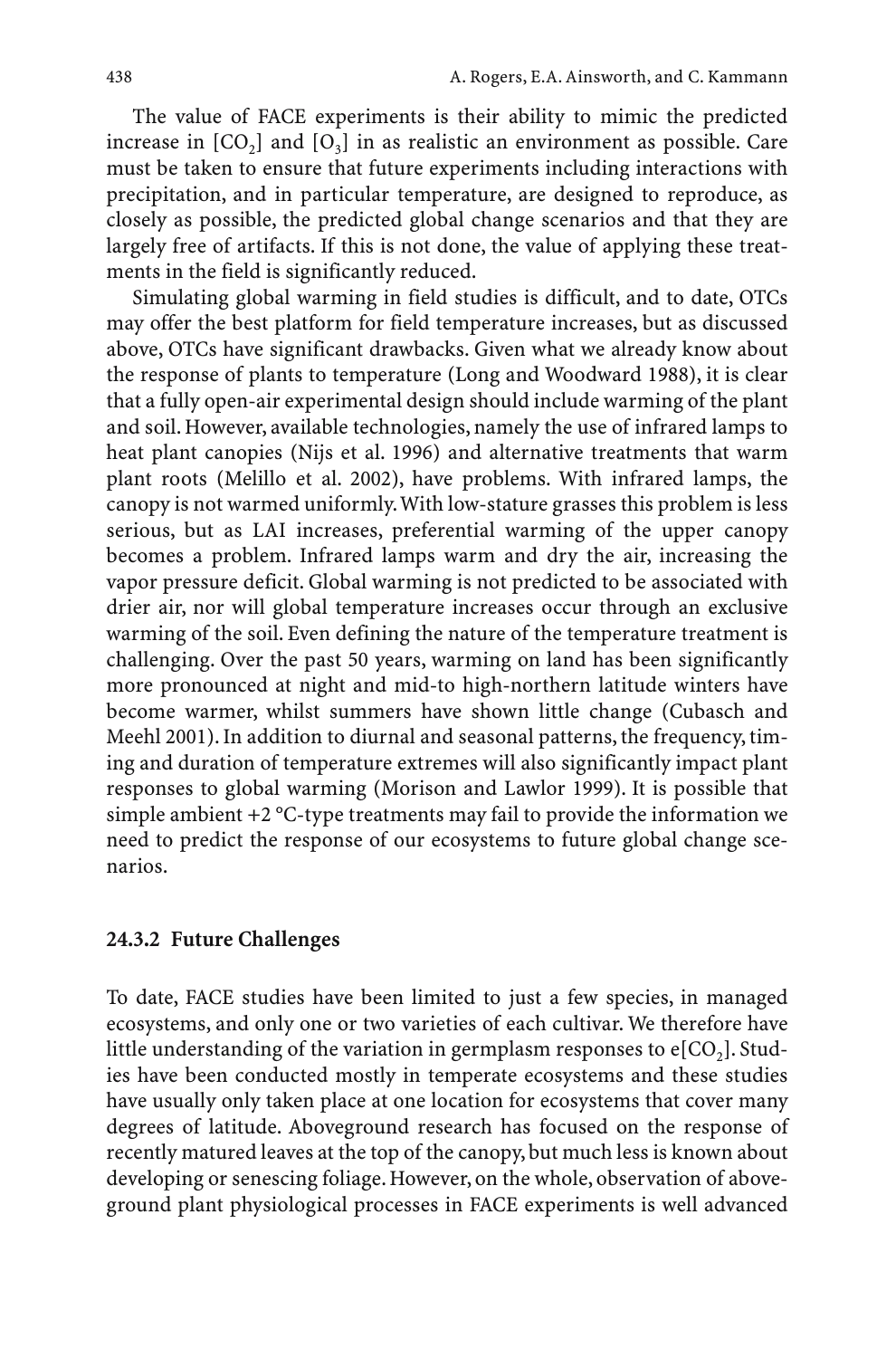The value of FACE experiments is their ability to mimic the predicted increase in  $[CO_2]$  and  $[O_3]$  in as realistic an environment as possible. Care must be taken to ensure that future experiments including interactions with precipitation, and in particular temperature, are designed to reproduce, as closely as possible, the predicted global change scenarios and that they are largely free of artifacts. If this is not done, the value of applying these treatments in the field is significantly reduced.

Simulating global warming in field studies is difficult, and to date, OTCs may offer the best platform for field temperature increases, but as discussed above, OTCs have significant drawbacks. Given what we already know about the response of plants to temperature (Long and Woodward 1988), it is clear that a fully open-air experimental design should include warming of the plant and soil. However, available technologies, namely the use of infrared lamps to heat plant canopies (Nijs et al. 1996) and alternative treatments that warm plant roots (Melillo et al. 2002), have problems. With infrared lamps, the canopy is not warmed uniformly.With low-stature grasses this problem is less serious, but as LAI increases, preferential warming of the upper canopy becomes a problem. Infrared lamps warm and dry the air, increasing the vapor pressure deficit. Global warming is not predicted to be associated with drier air, nor will global temperature increases occur through an exclusive warming of the soil. Even defining the nature of the temperature treatment is challenging. Over the past 50 years, warming on land has been significantly more pronounced at night and mid-to high-northern latitude winters have become warmer, whilst summers have shown little change (Cubasch and Meehl 2001). In addition to diurnal and seasonal patterns, the frequency, timing and duration of temperature extremes will also significantly impact plant responses to global warming (Morison and Lawlor 1999). It is possible that simple ambient +2 °C-type treatments may fail to provide the information we need to predict the response of our ecosystems to future global change scenarios.

### **24.3.2 Future Challenges**

To date, FACE studies have been limited to just a few species, in managed ecosystems, and only one or two varieties of each cultivar. We therefore have little understanding of the variation in germplasm responses to  $e[CO<sub>2</sub>]$ . Studies have been conducted mostly in temperate ecosystems and these studies have usually only taken place at one location for ecosystems that cover many degrees of latitude. Aboveground research has focused on the response of recently matured leaves at the top of the canopy, but much less is known about developing or senescing foliage. However, on the whole, observation of aboveground plant physiological processes in FACE experiments is well advanced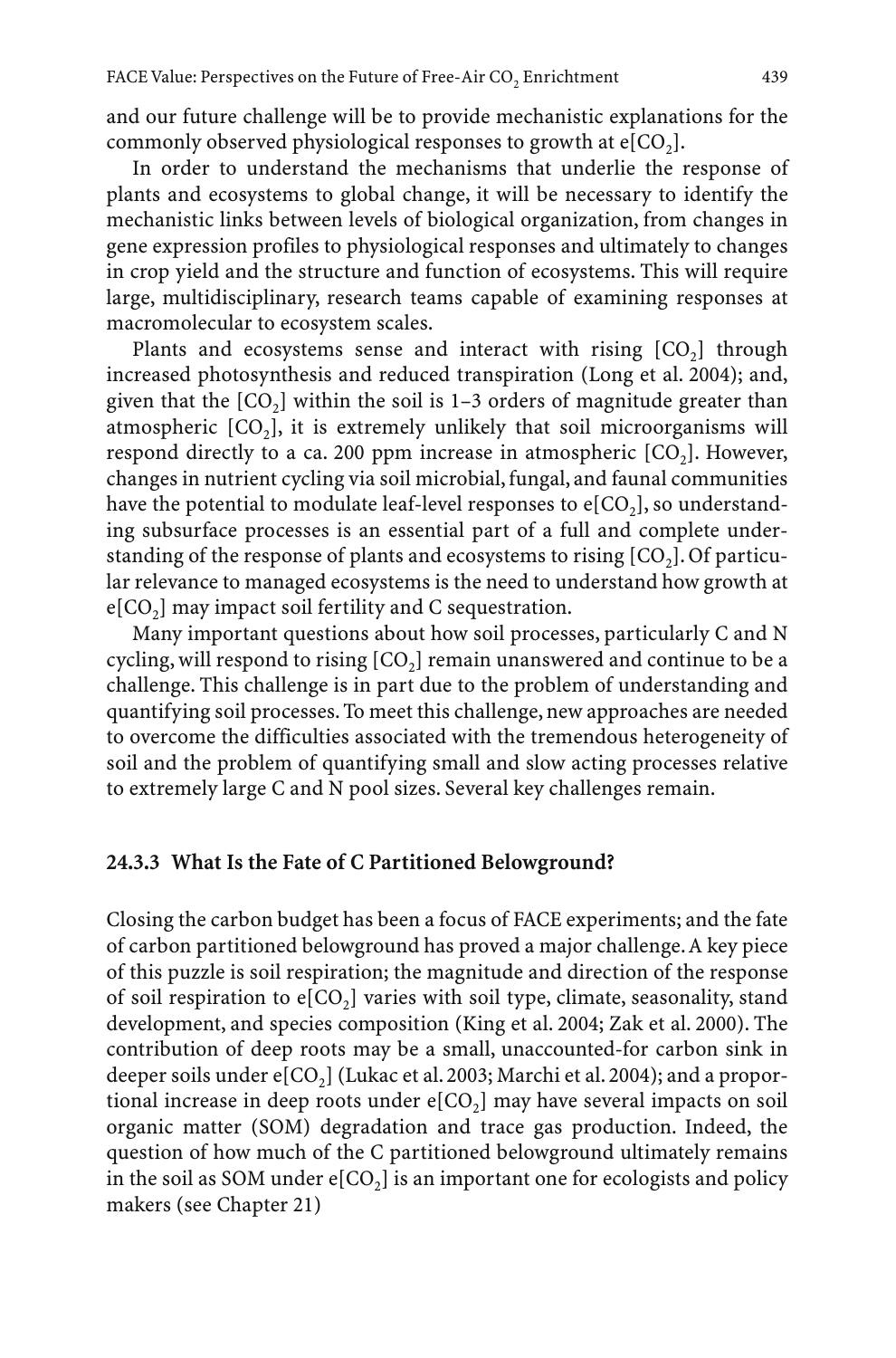and our future challenge will be to provide mechanistic explanations for the commonly observed physiological responses to growth at  $e[CO<sub>2</sub>]$ .

In order to understand the mechanisms that underlie the response of plants and ecosystems to global change, it will be necessary to identify the mechanistic links between levels of biological organization, from changes in gene expression profiles to physiological responses and ultimately to changes in crop yield and the structure and function of ecosystems. This will require large, multidisciplinary, research teams capable of examining responses at macromolecular to ecosystem scales.

Plants and ecosystems sense and interact with rising  $[CO<sub>2</sub>]$  through increased photosynthesis and reduced transpiration (Long et al. 2004); and, given that the  $[CO_2]$  within the soil is 1–3 orders of magnitude greater than atmospheric  $[CO_3]$ , it is extremely unlikely that soil microorganisms will respond directly to a ca. 200 ppm increase in atmospheric  $[CO<sub>2</sub>]$ . However, changes in nutrient cycling via soil microbial, fungal, and faunal communities have the potential to modulate leaf-level responses to  $e[CO_2]$ , so understanding subsurface processes is an essential part of a full and complete understanding of the response of plants and ecosystems to rising  $[CO<sub>2</sub>].$  Of particular relevance to managed ecosystems is the need to understand how growth at  $e[CO_2]$  may impact soil fertility and C sequestration.

Many important questions about how soil processes, particularly C and N cycling, will respond to rising  $[CO<sub>2</sub>]$  remain unanswered and continue to be a challenge. This challenge is in part due to the problem of understanding and quantifying soil processes. To meet this challenge, new approaches are needed to overcome the difficulties associated with the tremendous heterogeneity of soil and the problem of quantifying small and slow acting processes relative to extremely large C and N pool sizes. Several key challenges remain.

#### **24.3.3 What Is the Fate of C Partitioned Belowground?**

Closing the carbon budget has been a focus of FACE experiments; and the fate of carbon partitioned belowground has proved a major challenge.A key piece of this puzzle is soil respiration; the magnitude and direction of the response of soil respiration to  $e[CO_2]$  varies with soil type, climate, seasonality, stand development, and species composition (King et al. 2004; Zak et al. 2000). The contribution of deep roots may be a small, unaccounted-for carbon sink in deeper soils under  $e[CO_2]$  (Lukac et al. 2003; Marchi et al. 2004); and a proportional increase in deep roots under  $e[CO_2]$  may have several impacts on soil organic matter (SOM) degradation and trace gas production. Indeed, the question of how much of the C partitioned belowground ultimately remains in the soil as SOM under  $e[CO_2]$  is an important one for ecologists and policy makers (see Chapter 21)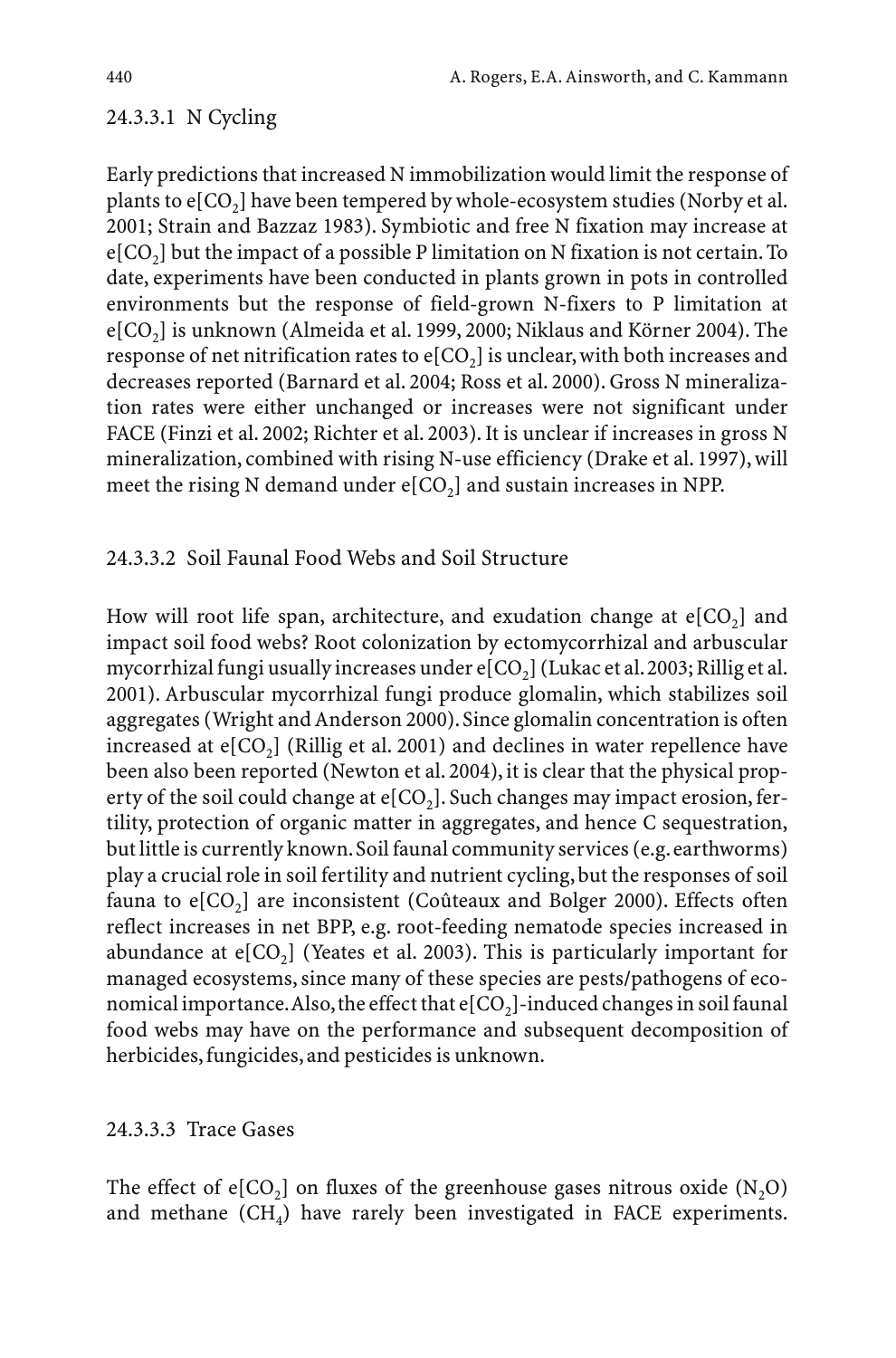### 24.3.3.1 N Cycling

Early predictions that increased N immobilization would limit the response of plants to  $e[CO_2]$  have been tempered by whole-ecosystem studies (Norby et al. 2001; Strain and Bazzaz 1983). Symbiotic and free N fixation may increase at  $e[CO<sub>2</sub>]$  but the impact of a possible P limitation on N fixation is not certain. To date, experiments have been conducted in plants grown in pots in controlled environments but the response of field-grown N-fixers to P limitation at e[CO<sub>2</sub>] is unknown (Almeida et al. 1999, 2000; Niklaus and Körner 2004). The response of net nitrification rates to  $e[CO<sub>2</sub>]$  is unclear, with both increases and decreases reported (Barnard et al. 2004; Ross et al. 2000). Gross N mineralization rates were either unchanged or increases were not significant under FACE (Finzi et al. 2002; Richter et al. 2003). It is unclear if increases in gross N mineralization, combined with rising N-use efficiency (Drake et al. 1997), will meet the rising N demand under  $e[CO_2]$  and sustain increases in NPP.

### 24.3.3.2 Soil Faunal Food Webs and Soil Structure

How will root life span, architecture, and exudation change at  $e[CO<sub>2</sub>]$  and impact soil food webs? Root colonization by ectomycorrhizal and arbuscular mycorrhizal fungi usually increases under  $e[CO_2]$  (Lukac et al. 2003; Rillig et al. 2001). Arbuscular mycorrhizal fungi produce glomalin, which stabilizes soil aggregates (Wright and Anderson 2000).Since glomalin concentration is often increased at  $e[CO_2]$  (Rillig et al. 2001) and declines in water repellence have been also been reported (Newton et al. 2004), it is clear that the physical property of the soil could change at  $e[CO<sub>2</sub>]$ . Such changes may impact erosion, fertility, protection of organic matter in aggregates, and hence C sequestration, but little is currently known. Soil faunal community services (e.g. earthworms) play a crucial role in soil fertility and nutrient cycling, but the responses of soil fauna to  $e[CO<sub>2</sub>]$  are inconsistent (Coûteaux and Bolger 2000). Effects often reflect increases in net BPP, e.g. root-feeding nematode species increased in abundance at  $e[CO_2]$  (Yeates et al. 2003). This is particularly important for managed ecosystems, since many of these species are pests/pathogens of economical importance. Also, the effect that  $e[CO<sub>2</sub>]$ -induced changes in soil faunal food webs may have on the performance and subsequent decomposition of herbicides, fungicides, and pesticides is unknown.

### 24.3.3.3 Trace Gases

The effect of e[CO<sub>2</sub>] on fluxes of the greenhouse gases nitrous oxide  $(N,0)$ and methane  $(CH_4)$  have rarely been investigated in FACE experiments.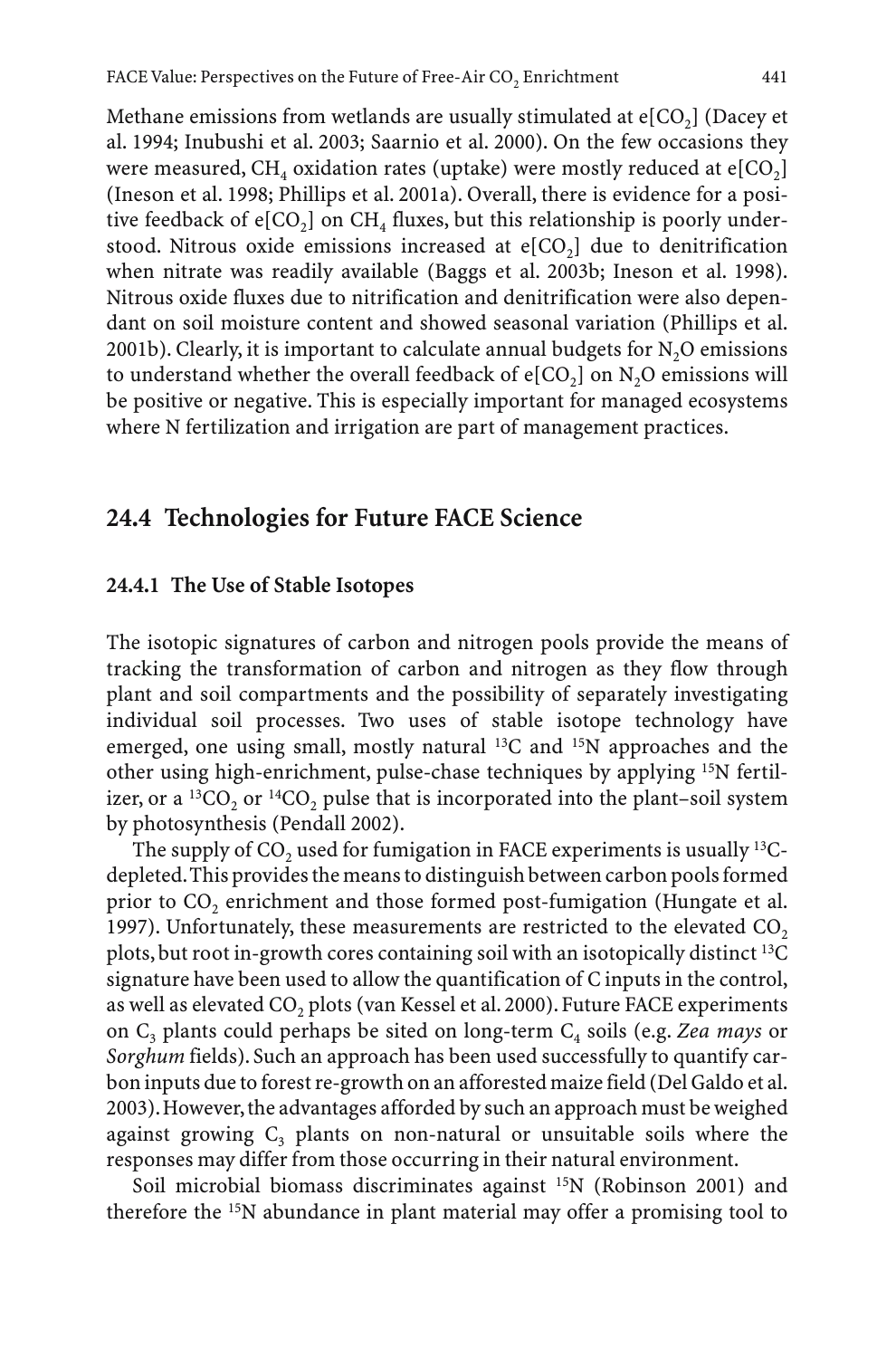Methane emissions from wetlands are usually stimulated at  $e[CO<sub>2</sub>]$  (Dacey et al. 1994; Inubushi et al. 2003; Saarnio et al. 2000). On the few occasions they were measured, CH<sub>4</sub> oxidation rates (uptake) were mostly reduced at  $e[CO_2]$ (Ineson et al. 1998; Phillips et al. 2001a). Overall, there is evidence for a positive feedback of  $e[CO_2]$  on CH<sub>4</sub> fluxes, but this relationship is poorly understood. Nitrous oxide emissions increased at  $e[CO_2]$  due to denitrification

when nitrate was readily available (Baggs et al. 2003b; Ineson et al. 1998). Nitrous oxide fluxes due to nitrification and denitrification were also dependant on soil moisture content and showed seasonal variation (Phillips et al. 2001b). Clearly, it is important to calculate annual budgets for  $N<sub>2</sub>O$  emissions to understand whether the overall feedback of  $e[CO<sub>2</sub>]$  on N<sub>2</sub>O emissions will be positive or negative. This is especially important for managed ecosystems where N fertilization and irrigation are part of management practices.

# **24.4 Technologies for Future FACE Science**

#### **24.4.1 The Use of Stable Isotopes**

The isotopic signatures of carbon and nitrogen pools provide the means of tracking the transformation of carbon and nitrogen as they flow through plant and soil compartments and the possibility of separately investigating individual soil processes. Two uses of stable isotope technology have emerged, one using small, mostly natural <sup>13</sup>C and <sup>15</sup>N approaches and the other using high-enrichment, pulse-chase techniques by applying 15N fertilizer, or a  ${}^{13}CO$ , or  ${}^{14}CO$ , pulse that is incorporated into the plant–soil system by photosynthesis (Pendall 2002).

The supply of  $CO$ , used for fumigation in FACE experiments is usually  $^{13}C$ depleted.This provides the means to distinguish between carbon pools formed prior to CO<sub>2</sub> enrichment and those formed post-fumigation (Hungate et al. 1997). Unfortunately, these measurements are restricted to the elevated  $CO<sub>2</sub>$ plots, but root in-growth cores containing soil with an isotopically distinct 13C signature have been used to allow the quantification of C inputs in the control, as well as elevated CO<sub>2</sub> plots (van Kessel et al. 2000). Future FACE experiments on C3 plants could perhaps be sited on long-term C4 soils (e.g. *Zea mays* or *Sorghum* fields). Such an approach has been used successfully to quantify carbon inputs due to forest re-growth on an afforested maize field (Del Galdo et al. 2003).However,the advantages afforded by such an approach must be weighed against growing  $C_3$  plants on non-natural or unsuitable soils where the responses may differ from those occurring in their natural environment.

Soil microbial biomass discriminates against 15N (Robinson 2001) and therefore the 15N abundance in plant material may offer a promising tool to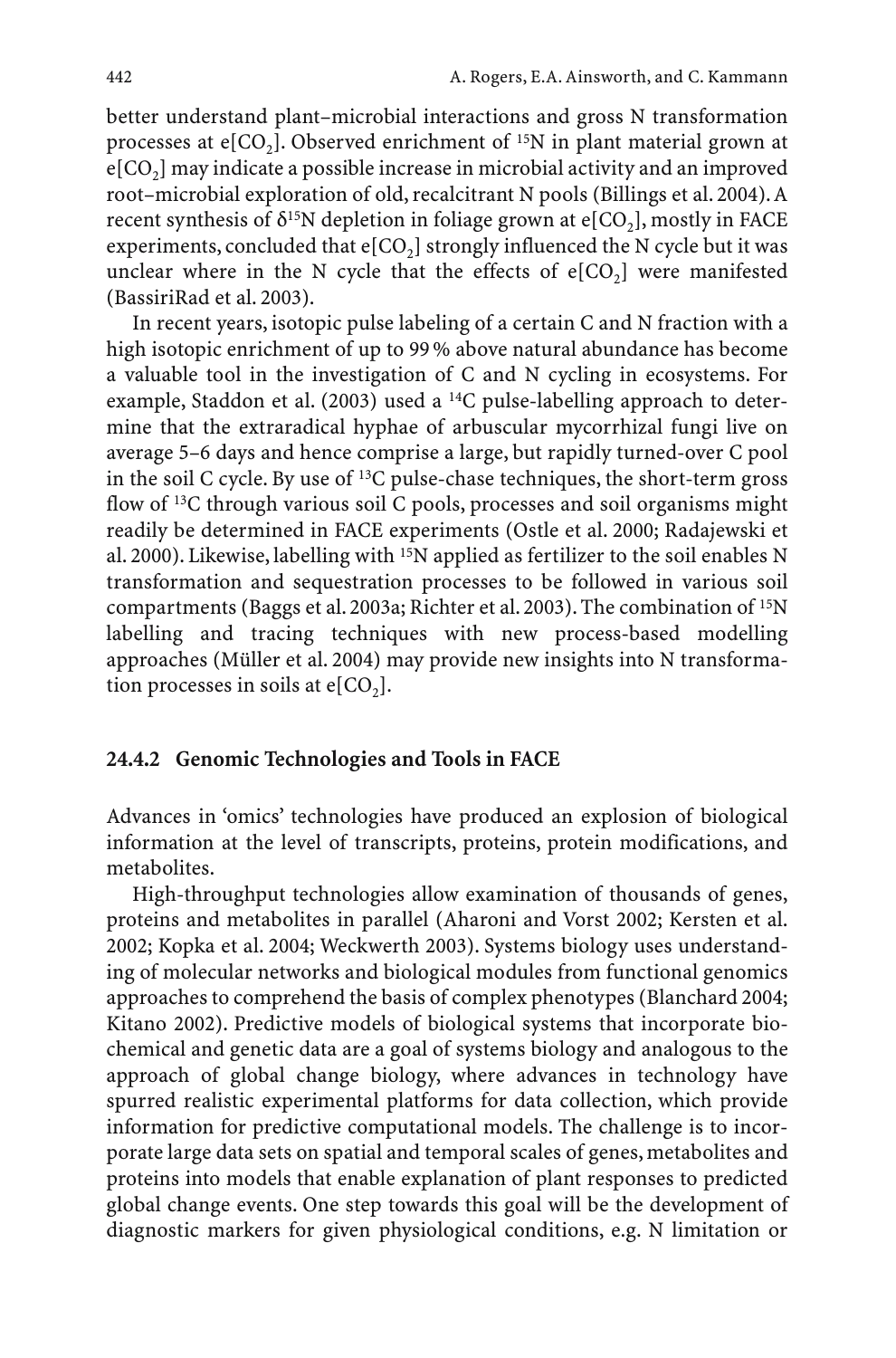better understand plant–microbial interactions and gross N transformation processes at  $e[CO_2]$ . Observed enrichment of <sup>15</sup>N in plant material grown at  $e[CO<sub>2</sub>]$  may indicate a possible increase in microbial activity and an improved root–microbial exploration of old, recalcitrant N pools (Billings et al. 2004). A recent synthesis of  $\delta^{15}N$  depletion in foliage grown at e[CO<sub>2</sub>], mostly in FACE experiments, concluded that  $e[CO_2]$  strongly influenced the N cycle but it was unclear where in the N cycle that the effects of  $e[CO<sub>2</sub>]$  were manifested (BassiriRad et al. 2003).

In recent years, isotopic pulse labeling of a certain C and N fraction with a high isotopic enrichment of up to 99 % above natural abundance has become a valuable tool in the investigation of C and N cycling in ecosystems. For example, Staddon et al. (2003) used a 14C pulse-labelling approach to determine that the extraradical hyphae of arbuscular mycorrhizal fungi live on average 5–6 days and hence comprise a large, but rapidly turned-over C pool in the soil C cycle. By use of 13C pulse-chase techniques, the short-term gross flow of <sup>13</sup>C through various soil C pools, processes and soil organisms might readily be determined in FACE experiments (Ostle et al. 2000; Radajewski et al. 2000). Likewise, labelling with 15N applied as fertilizer to the soil enables N transformation and sequestration processes to be followed in various soil compartments (Baggs et al. 2003a; Richter et al. 2003). The combination of 15N labelling and tracing techniques with new process-based modelling approaches (Müller et al. 2004) may provide new insights into N transformation processes in soils at  $e[CO<sub>2</sub>]$ .

#### **24.4.2 Genomic Technologies and Tools in FACE**

Advances in 'omics' technologies have produced an explosion of biological information at the level of transcripts, proteins, protein modifications, and metabolites.

High-throughput technologies allow examination of thousands of genes, proteins and metabolites in parallel (Aharoni and Vorst 2002; Kersten et al. 2002; Kopka et al. 2004; Weckwerth 2003). Systems biology uses understanding of molecular networks and biological modules from functional genomics approaches to comprehend the basis of complex phenotypes (Blanchard 2004; Kitano 2002). Predictive models of biological systems that incorporate biochemical and genetic data are a goal of systems biology and analogous to the approach of global change biology, where advances in technology have spurred realistic experimental platforms for data collection, which provide information for predictive computational models. The challenge is to incorporate large data sets on spatial and temporal scales of genes, metabolites and proteins into models that enable explanation of plant responses to predicted global change events. One step towards this goal will be the development of diagnostic markers for given physiological conditions, e.g. N limitation or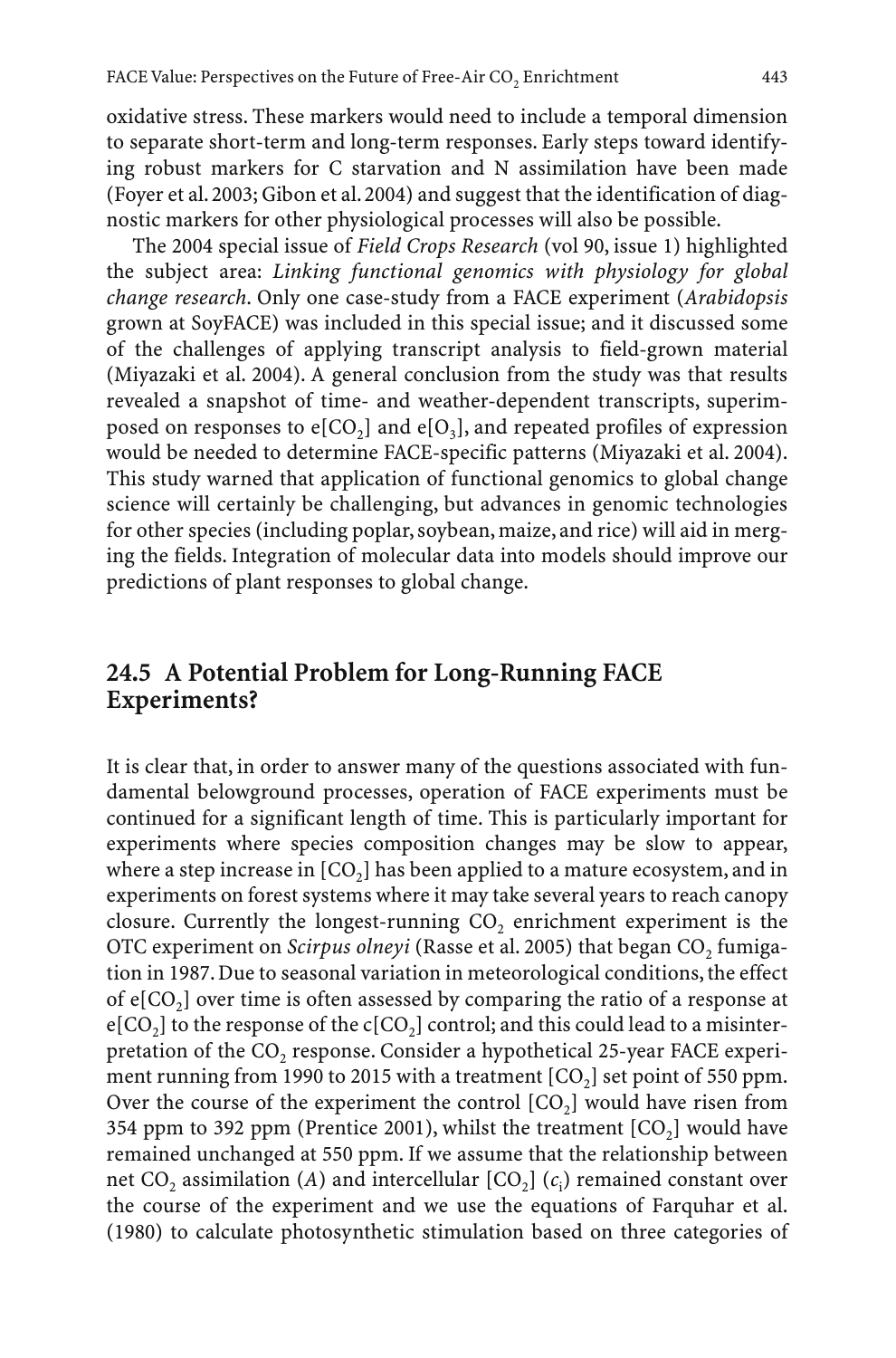oxidative stress. These markers would need to include a temporal dimension to separate short-term and long-term responses. Early steps toward identifying robust markers for C starvation and N assimilation have been made (Foyer et al. 2003; Gibon et al. 2004) and suggest that the identification of diagnostic markers for other physiological processes will also be possible.

The 2004 special issue of *Field Crops Research* (vol 90, issue 1) highlighted the subject area: *Linking functional genomics with physiology for global change research*. Only one case-study from a FACE experiment (*Arabidopsis* grown at SoyFACE) was included in this special issue; and it discussed some of the challenges of applying transcript analysis to field-grown material (Miyazaki et al. 2004). A general conclusion from the study was that results revealed a snapshot of time- and weather-dependent transcripts, superimposed on responses to  $e[CO_2]$  and  $e[O_3]$ , and repeated profiles of expression would be needed to determine FACE-specific patterns (Miyazaki et al. 2004). This study warned that application of functional genomics to global change science will certainly be challenging, but advances in genomic technologies for other species (including poplar, soybean, maize, and rice) will aid in merging the fields. Integration of molecular data into models should improve our predictions of plant responses to global change.

# **24.5 A Potential Problem for Long-Running FACE Experiments?**

It is clear that, in order to answer many of the questions associated with fundamental belowground processes, operation of FACE experiments must be continued for a significant length of time. This is particularly important for experiments where species composition changes may be slow to appear, where a step increase in  $[CO<sub>2</sub>]$  has been applied to a mature ecosystem, and in experiments on forest systems where it may take several years to reach canopy closure. Currently the longest-running  $CO<sub>2</sub>$  enrichment experiment is the OTC experiment on *Scirpus olneyi* (Rasse et al. 2005) that began CO<sub>2</sub> fumigation in 1987. Due to seasonal variation in meteorological conditions, the effect of  $e[CO_2]$  over time is often assessed by comparing the ratio of a response at  $e[CO_2]$  to the response of the  $c[CO_2]$  control; and this could lead to a misinterpretation of the CO<sub>2</sub> response. Consider a hypothetical 25-year FACE experiment running from 1990 to 2015 with a treatment  $[CO_2]$  set point of 550 ppm. Over the course of the experiment the control  $[CO<sub>2</sub>]$  would have risen from 354 ppm to 392 ppm (Prentice 2001), whilst the treatment  $[CO<sub>2</sub>]$  would have remained unchanged at 550 ppm. If we assume that the relationship between net  $CO_2$  assimilation (*A*) and intercellular  $[CO_2]$  ( $c_i$ ) remained constant over the course of the experiment and we use the equations of Farquhar et al. (1980) to calculate photosynthetic stimulation based on three categories of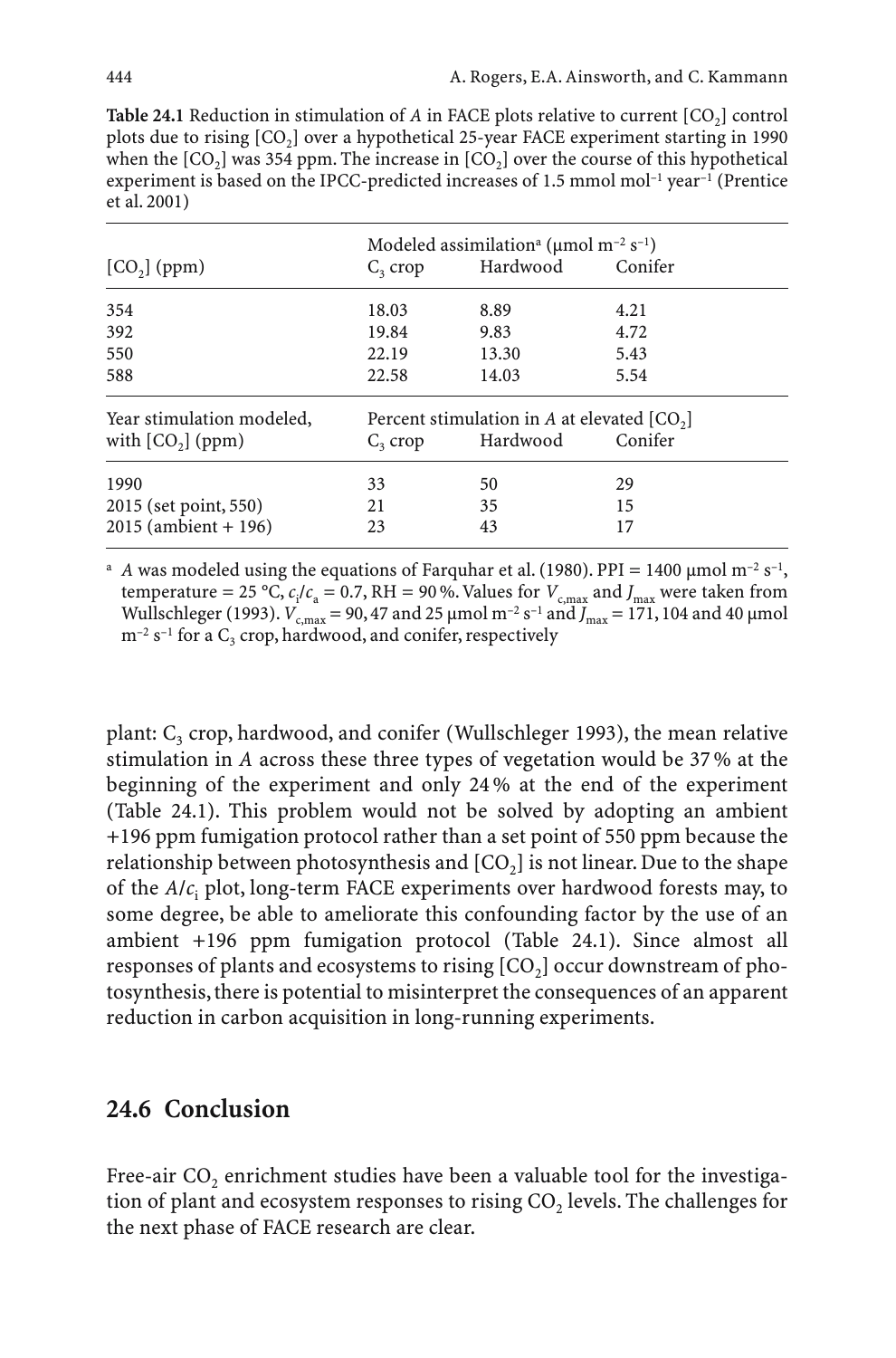**Table 24.1** Reduction in stimulation of  $A$  in FACE plots relative to current  $[CO_2]$  control plots due to rising [CO<sub>2</sub>] over a hypothetical 25-year FACE experiment starting in 1990 when the  $[CO_2]$  was 354 ppm. The increase in  $[CO_2]$  over the course of this hypothetical experiment is based on the IPCC-predicted increases of 1.5 mmol mol–1 year–1 (Prentice et al. 2001)

|                           | Modeled assimilation <sup>a</sup> ( $\mu$ mol m <sup>-2</sup> s <sup>-1</sup> ) |          |         |
|---------------------------|---------------------------------------------------------------------------------|----------|---------|
| $[CO2]$ (ppm)             | $C_3$ crop                                                                      | Hardwood | Conifer |
| 354                       | 18.03                                                                           | 8.89     | 4.21    |
| 392                       | 19.84                                                                           | 9.83     | 4.72    |
| 550                       | 22.19                                                                           | 13.30    | 5.43    |
| 588                       | 22.58                                                                           | 14.03    | 5.54    |
| Year stimulation modeled, | Percent stimulation in A at elevated $[CO2]$                                    |          |         |
| with $[CO2]$ (ppm)        | $C3$ crop                                                                       | Hardwood | Conifer |
| 1990                      | 33                                                                              | 50       | 29      |
| 2015 (set point, 550)     | 21                                                                              | 35       | 15      |
| $2015$ (ambient + 196)    | 23                                                                              | 43       | 17      |

<sup>a</sup> *A* was modeled using the equations of Farquhar et al. (1980). PPI = 1400  $\mu$ mol m<sup>-2</sup> s<sup>-1</sup>, temperature = 25 °C,  $c_i/c_a$  = 0.7, RH = 90 %. Values for  $V_{c, max}$  and  $J_{max}$  were taken from Wullschleger (1993).  $V_{c,max} = 90,47$  and 25 µmol m<sup>-2</sup> s<sup>-1</sup> and  $J_{max} = 171,104$  and 40 µmol  $m^{-2}$  s<sup>-1</sup> for a  $C_3$  crop, hardwood, and conifer, respectively

plant:  $C_3$  crop, hardwood, and conifer (Wullschleger 1993), the mean relative stimulation in *A* across these three types of vegetation would be 37 % at the beginning of the experiment and only 24 % at the end of the experiment (Table 24.1). This problem would not be solved by adopting an ambient +196 ppm fumigation protocol rather than a set point of 550 ppm because the relationship between photosynthesis and  $[CO<sub>2</sub>]$  is not linear. Due to the shape of the *A*/*c*<sup>i</sup> plot, long-term FACE experiments over hardwood forests may, to some degree, be able to ameliorate this confounding factor by the use of an ambient +196 ppm fumigation protocol (Table 24.1). Since almost all responses of plants and ecosystems to rising  $[CO<sub>2</sub>]$  occur downstream of photosynthesis, there is potential to misinterpret the consequences of an apparent reduction in carbon acquisition in long-running experiments.

## **24.6 Conclusion**

Free-air  $CO<sub>2</sub>$  enrichment studies have been a valuable tool for the investigation of plant and ecosystem responses to rising  $CO<sub>2</sub>$  levels. The challenges for the next phase of FACE research are clear.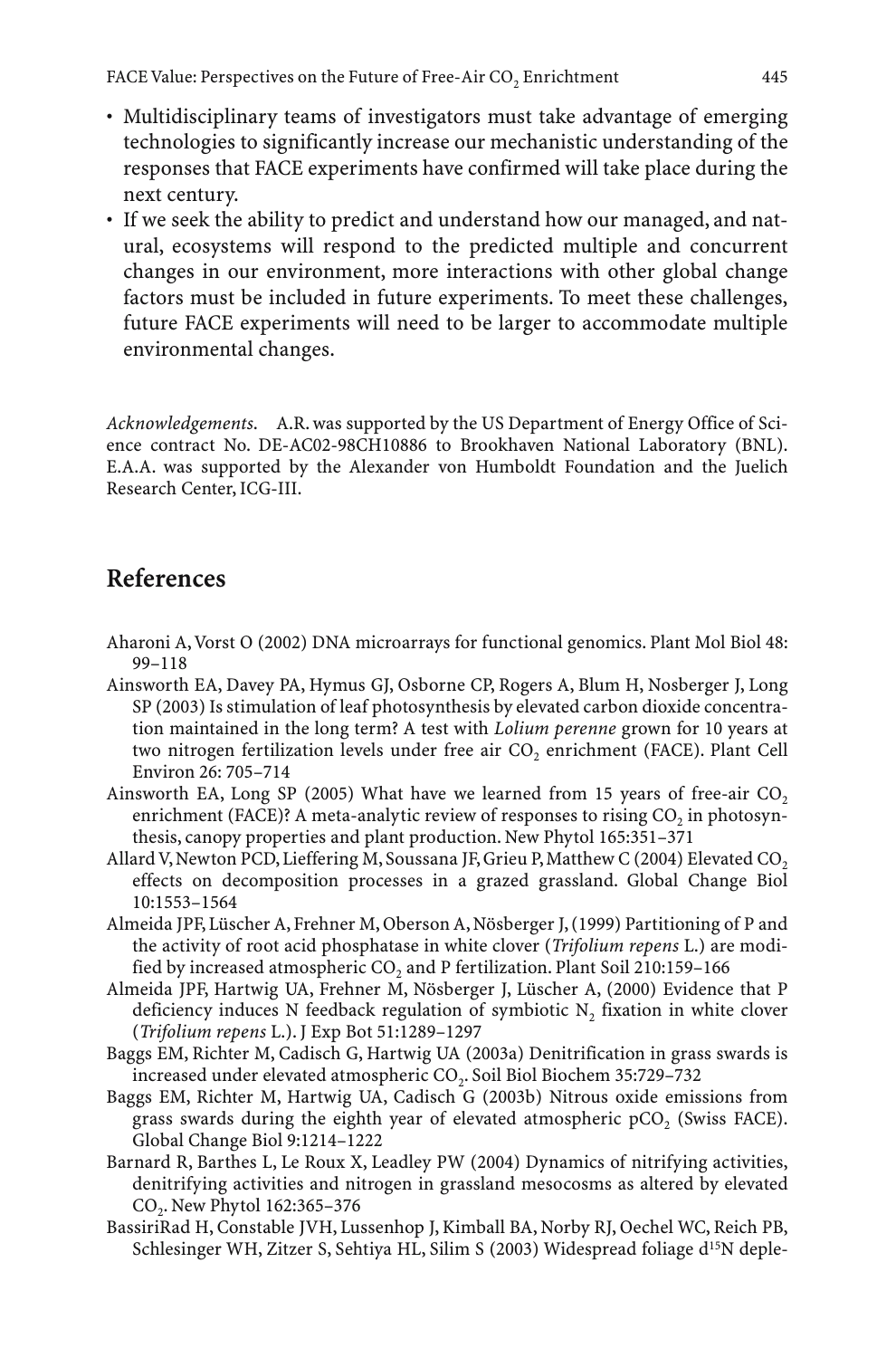- Multidisciplinary teams of investigators must take advantage of emerging technologies to significantly increase our mechanistic understanding of the responses that FACE experiments have confirmed will take place during the next century.
- If we seek the ability to predict and understand how our managed, and natural, ecosystems will respond to the predicted multiple and concurrent changes in our environment, more interactions with other global change factors must be included in future experiments. To meet these challenges, future FACE experiments will need to be larger to accommodate multiple environmental changes.

*Acknowledgements*. A.R. was supported by the US Department of Energy Office of Science contract No. DE-AC02-98CH10886 to Brookhaven National Laboratory (BNL). E.A.A. was supported by the Alexander von Humboldt Foundation and the Juelich Research Center, ICG-III.

# **References**

- Aharoni A, Vorst O (2002) DNA microarrays for functional genomics. Plant Mol Biol 48: 99–118
- Ainsworth EA, Davey PA, Hymus GJ, Osborne CP, Rogers A, Blum H, Nosberger J, Long SP (2003) Is stimulation of leaf photosynthesis by elevated carbon dioxide concentration maintained in the long term? A test with *Lolium perenne* grown for 10 years at two nitrogen fertilization levels under free air CO<sub>2</sub> enrichment (FACE). Plant Cell Environ 26: 705–714
- Ainsworth EA, Long SP (2005) What have we learned from 15 years of free-air  $CO<sub>2</sub>$ enrichment (FACE)? A meta-analytic review of responses to rising  $CO<sub>2</sub>$  in photosynthesis, canopy properties and plant production. New Phytol 165:351–371
- Allard V, Newton PCD, Lieffering M, Soussana JF, Grieu P, Matthew C (2004) Elevated CO<sub>2</sub> effects on decomposition processes in a grazed grassland. Global Change Biol 10:1553–1564
- Almeida JPF, Lüscher A, Frehner M, Oberson A, Nösberger J, (1999) Partitioning of P and the activity of root acid phosphatase in white clover (*Trifolium repens* L.) are modified by increased atmospheric  $CO<sub>2</sub>$  and P fertilization. Plant Soil 210:159-166
- Almeida JPF, Hartwig UA, Frehner M, Nösberger J, Lüscher A, (2000) Evidence that P deficiency induces N feedback regulation of symbiotic  $N<sub>2</sub>$  fixation in white clover (*Trifolium repens* L.). J Exp Bot 51:1289–1297
- Baggs EM, Richter M, Cadisch G, Hartwig UA (2003a) Denitrification in grass swards is increased under elevated atmospheric CO<sub>2</sub>. Soil Biol Biochem 35:729-732
- Baggs EM, Richter M, Hartwig UA, Cadisch G (2003b) Nitrous oxide emissions from grass swards during the eighth year of elevated atmospheric  $pCO$ , (Swiss FACE). Global Change Biol 9:1214–1222
- Barnard R, Barthes L, Le Roux X, Leadley PW (2004) Dynamics of nitrifying activities, denitrifying activities and nitrogen in grassland mesocosms as altered by elevated CO2. New Phytol 162:365–376
- BassiriRad H, Constable JVH, Lussenhop J, Kimball BA, Norby RJ, Oechel WC, Reich PB, Schlesinger WH, Zitzer S, Sehtiya HL, Silim S (2003) Widespread foliage d<sup>15</sup>N deple-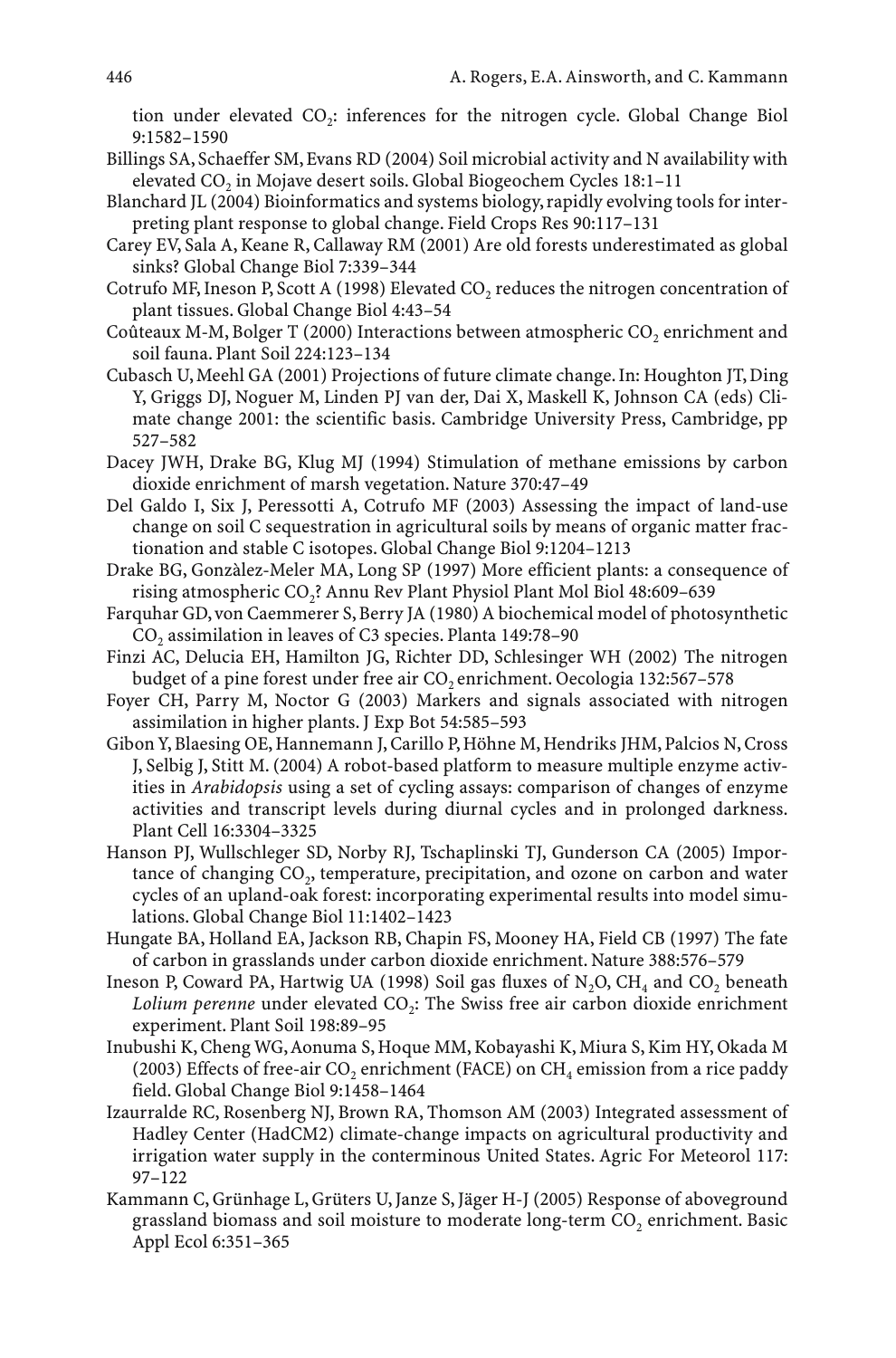tion under elevated CO<sub>2</sub>: inferences for the nitrogen cycle. Global Change Biol 9:1582–1590

- Billings SA, Schaeffer SM, Evans RD (2004) Soil microbial activity and N availability with elevated CO<sub>2</sub> in Mojave desert soils. Global Biogeochem Cycles 18:1–11
- Blanchard JL (2004) Bioinformatics and systems biology, rapidly evolving tools for interpreting plant response to global change. Field Crops Res 90:117–131
- Carey EV, Sala A, Keane R, Callaway RM (2001) Are old forests underestimated as global sinks? Global Change Biol 7:339–344
- Cotrufo MF, Ineson P, Scott A (1998) Elevated CO, reduces the nitrogen concentration of plant tissues. Global Change Biol 4:43–54
- Coûteaux M-M, Bolger T (2000) Interactions between atmospheric  $CO<sub>2</sub>$  enrichment and soil fauna. Plant Soil 224:123–134
- Cubasch U, Meehl GA (2001) Projections of future climate change. In: Houghton JT, Ding Y, Griggs DJ, Noguer M, Linden PJ van der, Dai X, Maskell K, Johnson CA (eds) Climate change 2001: the scientific basis. Cambridge University Press, Cambridge, pp 527–582
- Dacey JWH, Drake BG, Klug MJ (1994) Stimulation of methane emissions by carbon dioxide enrichment of marsh vegetation. Nature 370:47–49
- Del Galdo I, Six J, Peressotti A, Cotrufo MF (2003) Assessing the impact of land-use change on soil C sequestration in agricultural soils by means of organic matter fractionation and stable C isotopes. Global Change Biol 9:1204–1213
- Drake BG, Gonzàlez-Meler MA, Long SP (1997) More efficient plants: a consequence of rising atmospheric CO<sub>2</sub>? Annu Rev Plant Physiol Plant Mol Biol 48:609-639
- Farquhar GD, von Caemmerer S, Berry JA (1980) A biochemical model of photosynthetic CO<sub>2</sub> assimilation in leaves of C3 species. Planta 149:78-90
- Finzi AC, Delucia EH, Hamilton JG, Richter DD, Schlesinger WH (2002) The nitrogen budget of a pine forest under free air CO<sub>2</sub> enrichment. Oecologia 132:567-578
- Foyer CH, Parry M, Noctor G (2003) Markers and signals associated with nitrogen assimilation in higher plants. J Exp Bot 54:585–593
- Gibon Y, Blaesing OE, Hannemann J, Carillo P, Höhne M, Hendriks JHM, Palcios N, Cross J, Selbig J, Stitt M. (2004) A robot-based platform to measure multiple enzyme activities in *Arabidopsis* using a set of cycling assays: comparison of changes of enzyme activities and transcript levels during diurnal cycles and in prolonged darkness. Plant Cell 16:3304–3325
- Hanson PJ, Wullschleger SD, Norby RJ, Tschaplinski TJ, Gunderson CA (2005) Importance of changing CO<sub>2</sub>, temperature, precipitation, and ozone on carbon and water cycles of an upland-oak forest: incorporating experimental results into model simulations. Global Change Biol 11:1402–1423
- Hungate BA, Holland EA, Jackson RB, Chapin FS, Mooney HA, Field CB (1997) The fate of carbon in grasslands under carbon dioxide enrichment. Nature 388:576–579
- Ineson P, Coward PA, Hartwig UA (1998) Soil gas fluxes of  $N_2O$ ,  $CH_4$  and  $CO_2$  beneath *Lolium perenne* under elevated CO<sub>2</sub>: The Swiss free air carbon dioxide enrichment experiment. Plant Soil 198:89–95
- Inubushi K, Cheng WG, Aonuma S, Hoque MM, Kobayashi K, Miura S, Kim HY, Okada M (2003) Effects of free-air CO<sub>2</sub> enrichment (FACE) on CH<sub>4</sub> emission from a rice paddy field. Global Change Biol 9:1458–1464
- Izaurralde RC, Rosenberg NJ, Brown RA, Thomson AM (2003) Integrated assessment of Hadley Center (HadCM2) climate-change impacts on agricultural productivity and irrigation water supply in the conterminous United States. Agric For Meteorol 117: 97–122
- Kammann C, Grünhage L, Grüters U, Janze S, Jäger H-J (2005) Response of aboveground grassland biomass and soil moisture to moderate long-term CO<sub>2</sub> enrichment. Basic Appl Ecol 6:351–365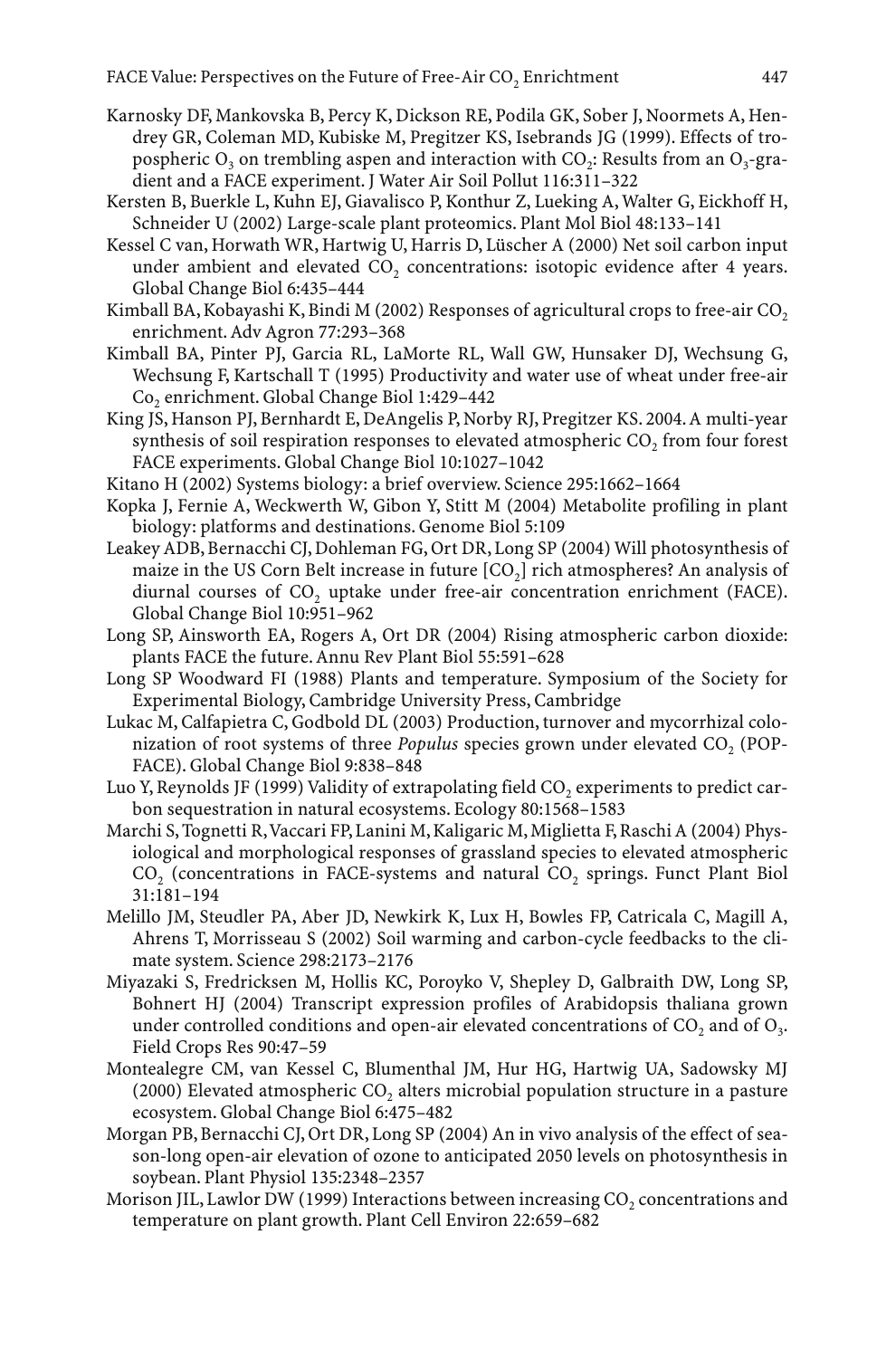- Karnosky DF, Mankovska B, Percy K, Dickson RE, Podila GK, Sober J, Noormets A, Hendrey GR, Coleman MD, Kubiske M, Pregitzer KS, Isebrands JG (1999). Effects of tropospheric  $O_3$  on trembling aspen and interaction with  $CO_2$ : Results from an  $O_3$ -gradient and a FACE experiment. J Water Air Soil Pollut 116:311–322
- Kersten B, Buerkle L, Kuhn EJ, Giavalisco P, Konthur Z, Lueking A, Walter G, Eickhoff H, Schneider U (2002) Large-scale plant proteomics. Plant Mol Biol 48:133–141
- Kessel C van, Horwath WR, Hartwig U, Harris D, Lüscher A (2000) Net soil carbon input under ambient and elevated CO<sub>2</sub> concentrations: isotopic evidence after 4 years. Global Change Biol 6:435–444
- Kimball BA, Kobayashi K, Bindi M (2002) Responses of agricultural crops to free-air  $CO<sub>2</sub>$ enrichment. Adv Agron 77:293–368
- Kimball BA, Pinter PJ, Garcia RL, LaMorte RL, Wall GW, Hunsaker DJ, Wechsung G, Wechsung F, Kartschall T (1995) Productivity and water use of wheat under free-air Co2 enrichment. Global Change Biol 1:429–442
- King JS, Hanson PJ, Bernhardt E, DeAngelis P, Norby RJ, Pregitzer KS. 2004. A multi-year synthesis of soil respiration responses to elevated atmospheric CO<sub>2</sub> from four forest FACE experiments. Global Change Biol 10:1027–1042
- Kitano H (2002) Systems biology: a brief overview. Science 295:1662–1664
- Kopka J, Fernie A, Weckwerth W, Gibon Y, Stitt M (2004) Metabolite profiling in plant biology: platforms and destinations. Genome Biol 5:109
- Leakey ADB, Bernacchi CJ, Dohleman FG, Ort DR, Long SP (2004) Will photosynthesis of maize in the US Corn Belt increase in future  $[CO<sub>2</sub>]$  rich atmospheres? An analysis of diurnal courses of  $CO<sub>2</sub>$  uptake under free-air concentration enrichment (FACE). Global Change Biol 10:951–962
- Long SP, Ainsworth EA, Rogers A, Ort DR (2004) Rising atmospheric carbon dioxide: plants FACE the future. Annu Rev Plant Biol 55:591–628
- Long SP Woodward FI (1988) Plants and temperature. Symposium of the Society for Experimental Biology, Cambridge University Press, Cambridge
- Lukac M, Calfapietra C, Godbold DL (2003) Production, turnover and mycorrhizal colonization of root systems of three *Populus* species grown under elevated CO<sub>2</sub> (POP-FACE). Global Change Biol 9:838–848
- Luo Y, Reynolds JF (1999) Validity of extrapolating field  $CO<sub>2</sub>$  experiments to predict carbon sequestration in natural ecosystems. Ecology 80:1568–1583
- Marchi S, Tognetti R,Vaccari FP, Lanini M, Kaligaric M, Miglietta F, Raschi A (2004) Physiological and morphological responses of grassland species to elevated atmospheric CO<sub>2</sub> (concentrations in FACE-systems and natural CO<sub>2</sub> springs. Funct Plant Biol 31:181–194
- Melillo JM, Steudler PA, Aber JD, Newkirk K, Lux H, Bowles FP, Catricala C, Magill A, Ahrens T, Morrisseau S (2002) Soil warming and carbon-cycle feedbacks to the climate system. Science 298:2173–2176
- Miyazaki S, Fredricksen M, Hollis KC, Poroyko V, Shepley D, Galbraith DW, Long SP, Bohnert HJ (2004) Transcript expression profiles of Arabidopsis thaliana grown under controlled conditions and open-air elevated concentrations of  $CO<sub>2</sub>$  and of  $O<sub>3</sub>$ . Field Crops Res 90:47–59
- Montealegre CM, van Kessel C, Blumenthal JM, Hur HG, Hartwig UA, Sadowsky MJ  $(2000)$  Elevated atmospheric CO<sub>2</sub> alters microbial population structure in a pasture ecosystem. Global Change Biol 6:475–482
- Morgan PB, Bernacchi CJ, Ort DR, Long SP (2004) An in vivo analysis of the effect of season-long open-air elevation of ozone to anticipated 2050 levels on photosynthesis in soybean. Plant Physiol 135:2348–2357
- Morison JIL, Lawlor DW (1999) Interactions between increasing  $CO<sub>2</sub>$  concentrations and temperature on plant growth. Plant Cell Environ 22:659–682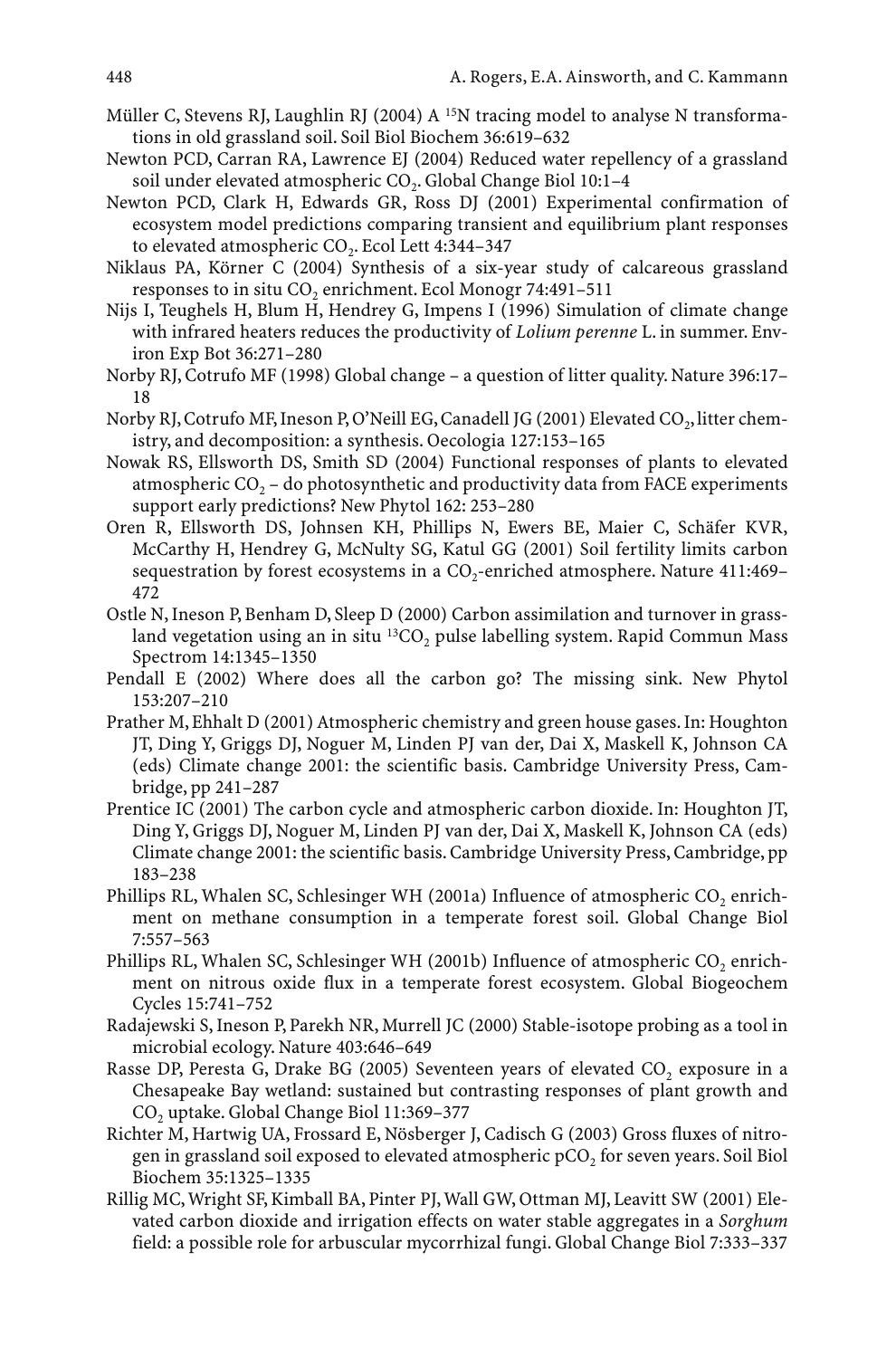- Müller C, Stevens RJ, Laughlin RJ (2004) A <sup>15</sup>N tracing model to analyse N transformations in old grassland soil. Soil Biol Biochem 36:619–632
- Newton PCD, Carran RA, Lawrence EJ (2004) Reduced water repellency of a grassland soil under elevated atmospheric CO<sub>2</sub>. Global Change Biol 10:1-4
- Newton PCD, Clark H, Edwards GR, Ross DJ (2001) Experimental confirmation of ecosystem model predictions comparing transient and equilibrium plant responses to elevated atmospheric CO<sub>2</sub>. Ecol Lett 4:344-347
- Niklaus PA, Körner C (2004) Synthesis of a six-year study of calcareous grassland responses to in situ CO<sub>2</sub> enrichment. Ecol Monogr 74:491-511
- Nijs I, Teughels H, Blum H, Hendrey G, Impens I (1996) Simulation of climate change with infrared heaters reduces the productivity of *Lolium perenne* L. in summer. Environ Exp Bot 36:271–280
- Norby RJ, Cotrufo MF (1998) Global change a question of litter quality. Nature 396:17– 18
- Norby RJ, Cotrufo MF, Ineson P, O'Neill EG, Canadell JG (2001) Elevated CO<sub>2</sub>, litter chemistry, and decomposition: a synthesis. Oecologia 127:153–165
- Nowak RS, Ellsworth DS, Smith SD (2004) Functional responses of plants to elevated atmospheric CO<sub>2</sub> – do photosynthetic and productivity data from FACE experiments support early predictions? New Phytol 162: 253–280
- Oren R, Ellsworth DS, Johnsen KH, Phillips N, Ewers BE, Maier C, Schäfer KVR, McCarthy H, Hendrey G, McNulty SG, Katul GG (2001) Soil fertility limits carbon sequestration by forest ecosystems in a CO<sub>2</sub>-enriched atmosphere. Nature 411:469-472
- Ostle N, Ineson P, Benham D, Sleep D (2000) Carbon assimilation and turnover in grassland vegetation using an in situ  ${}^{13}CO$ , pulse labelling system. Rapid Commun Mass Spectrom 14:1345–1350
- Pendall E (2002) Where does all the carbon go? The missing sink. New Phytol 153:207–210
- Prather M, Ehhalt D (2001) Atmospheric chemistry and green house gases. In: Houghton JT, Ding Y, Griggs DJ, Noguer M, Linden PJ van der, Dai X, Maskell K, Johnson CA (eds) Climate change 2001: the scientific basis. Cambridge University Press, Cambridge, pp 241–287
- Prentice IC (2001) The carbon cycle and atmospheric carbon dioxide. In: Houghton JT, Ding Y, Griggs DJ, Noguer M, Linden PJ van der, Dai X, Maskell K, Johnson CA (eds) Climate change 2001: the scientific basis. Cambridge University Press, Cambridge, pp 183–238
- Phillips RL, Whalen SC, Schlesinger WH (2001a) Influence of atmospheric  $CO<sub>2</sub>$  enrichment on methane consumption in a temperate forest soil. Global Change Biol 7:557–563
- Phillips RL, Whalen SC, Schlesinger WH (2001b) Influence of atmospheric CO<sub>2</sub> enrichment on nitrous oxide flux in a temperate forest ecosystem. Global Biogeochem Cycles 15:741–752
- Radajewski S, Ineson P, Parekh NR, Murrell JC (2000) Stable-isotope probing as a tool in microbial ecology. Nature 403:646–649
- Rasse DP, Peresta G, Drake BG (2005) Seventeen years of elevated CO<sub>2</sub> exposure in a Chesapeake Bay wetland: sustained but contrasting responses of plant growth and CO2 uptake. Global Change Biol 11:369–377
- Richter M, Hartwig UA, Frossard E, Nösberger J, Cadisch G (2003) Gross fluxes of nitrogen in grassland soil exposed to elevated atmospheric  $pCO<sub>2</sub>$  for seven years. Soil Biol Biochem 35:1325–1335
- Rillig MC, Wright SF, Kimball BA, Pinter PJ, Wall GW, Ottman MJ, Leavitt SW (2001) Elevated carbon dioxide and irrigation effects on water stable aggregates in a *Sorghum* field: a possible role for arbuscular mycorrhizal fungi. Global Change Biol 7:333–337